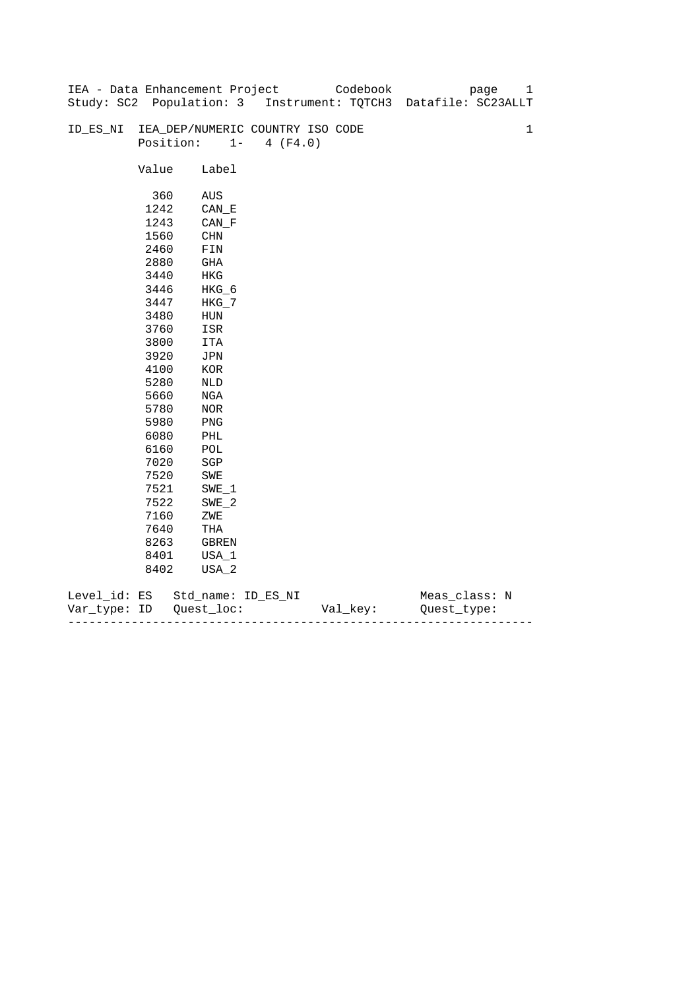|              |       | IEA - Data Enhancement Project   |                   | Codebook | 1<br>page                                                      |
|--------------|-------|----------------------------------|-------------------|----------|----------------------------------------------------------------|
|              |       |                                  |                   |          | Study: SC2 Population: 3 Instrument: TQTCH3 Datafile: SC23ALLT |
|              |       |                                  |                   |          |                                                                |
| ID_ES_NI     |       | IEA_DEP/NUMERIC COUNTRY ISO CODE |                   |          | $\mathbf 1$                                                    |
|              |       | Position:                        | $1 -$<br>4 (F4.0) |          |                                                                |
|              |       |                                  |                   |          |                                                                |
|              | Value | Label                            |                   |          |                                                                |
|              |       |                                  |                   |          |                                                                |
|              | 360   | AUS                              |                   |          |                                                                |
|              | 1242  | CAN E                            |                   |          |                                                                |
|              | 1243  | $CAN_F$                          |                   |          |                                                                |
|              | 1560  | CHN                              |                   |          |                                                                |
|              | 2460  | FIN                              |                   |          |                                                                |
|              | 2880  | GHA                              |                   |          |                                                                |
|              | 3440  | HKG                              |                   |          |                                                                |
|              | 3446  | HKG_6                            |                   |          |                                                                |
|              | 3447  | $HKG_7$                          |                   |          |                                                                |
|              | 3480  | ${\tt HUN}$                      |                   |          |                                                                |
|              | 3760  | ISR                              |                   |          |                                                                |
|              | 3800  | ITA                              |                   |          |                                                                |
|              | 3920  | JPN                              |                   |          |                                                                |
|              | 4100  | $_{\rm KOR}$                     |                   |          |                                                                |
|              | 5280  | NLD                              |                   |          |                                                                |
|              | 5660  | NGA                              |                   |          |                                                                |
|              | 5780  | NOR                              |                   |          |                                                                |
|              | 5980  | PNG                              |                   |          |                                                                |
|              | 6080  | PHL                              |                   |          |                                                                |
|              | 6160  | $\mathop{\rm POL}\nolimits$      |                   |          |                                                                |
|              | 7020  | $_{\rm SGP}$                     |                   |          |                                                                |
|              | 7520  | SWE                              |                   |          |                                                                |
|              | 7521  | $SWE_1$                          |                   |          |                                                                |
|              | 7522  | $SWE_2$                          |                   |          |                                                                |
|              | 7160  | ZWE                              |                   |          |                                                                |
|              | 7640  | THA                              |                   |          |                                                                |
|              | 8263  | GBREN                            |                   |          |                                                                |
|              | 8401  | USA_1                            |                   |          |                                                                |
|              | 8402  | USA_2                            |                   |          |                                                                |
|              |       |                                  |                   |          |                                                                |
| Level_id: ES |       | Std_name: ID_ES_NI               |                   |          | Meas_class: N                                                  |

| Var<br>TVDA: | ID | $- -$<br>--- | - |
|--------------|----|--------------|---|
|              |    |              |   |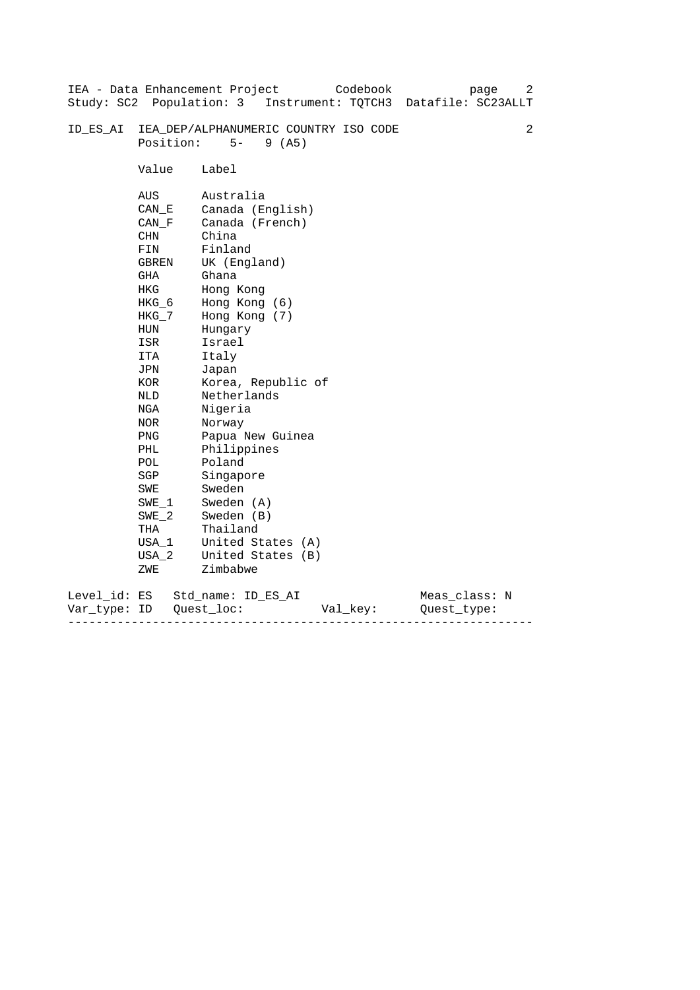|                              |                                                                                                                                                                                                                           | IEA - Data Enhancement Project<br>Codebook<br>page<br>Study: SC2 Population: 3 Instrument: TQTCH3 Datafile: SC23ALLT                                                                                                                                                                                                                                                           | 2 |
|------------------------------|---------------------------------------------------------------------------------------------------------------------------------------------------------------------------------------------------------------------------|--------------------------------------------------------------------------------------------------------------------------------------------------------------------------------------------------------------------------------------------------------------------------------------------------------------------------------------------------------------------------------|---|
| ID ES AI                     | Position:                                                                                                                                                                                                                 | IEA_DEP/ALPHANUMERIC COUNTRY ISO CODE<br>$5-$<br>9(AB)                                                                                                                                                                                                                                                                                                                         | 2 |
|                              | Value                                                                                                                                                                                                                     | Label                                                                                                                                                                                                                                                                                                                                                                          |   |
|                              | AUS<br>CAN E<br>CAN F<br>CHN<br>FIN<br><b>GBREN</b><br>GHA<br>HKG<br>HKG_6<br>HKG_7<br>HUN<br>ISR<br>ITA<br>JPN<br>KOR<br>NLD<br>NGA<br>NOR<br><b>PNG</b><br>PHL<br>POL<br>SGP<br>SWE<br>SWE 1<br>$SWE_2$<br>THA<br>USA_1 | Australia<br>Canada (English)<br>Canada (French)<br>China<br>Finland<br>UK (England)<br>Ghana<br>Hong Kong<br>Hong Kong (6)<br>Hong Kong (7)<br>Hungary<br>Israel<br>Italy<br>Japan<br>Korea, Republic of<br>Netherlands<br>Nigeria<br>Norway<br>Papua New Guinea<br>Philippines<br>Poland<br>Singapore<br>Sweden<br>Sweden (A)<br>Sweden (B)<br>Thailand<br>United States (A) |   |
|                              | $USA_2$<br>ZWE                                                                                                                                                                                                            | United States (B)<br>Zimbabwe                                                                                                                                                                                                                                                                                                                                                  |   |
| Level_id: ES<br>Var type: ID |                                                                                                                                                                                                                           | Meas_class: N<br>Std name: ID ES AI<br>Quest loc:<br>Val_key:<br>Ouest type:                                                                                                                                                                                                                                                                                                   |   |

------------------------------------------------------------------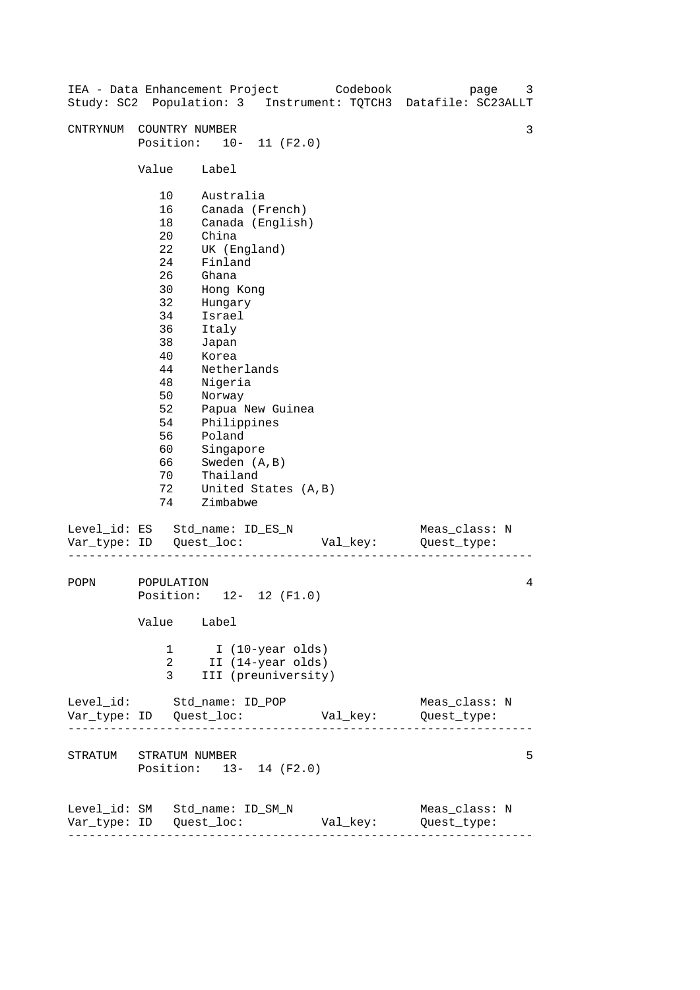| IEA - Data Enhancement Project Codebook<br>Study: SC2 Population: 3 Instrument: TQTCH3 Datafile: SC23ALLT |                                                                                                                                       |                                                                                                                                                                                                                                               |                                      |          |                              | page | 3 |
|-----------------------------------------------------------------------------------------------------------|---------------------------------------------------------------------------------------------------------------------------------------|-----------------------------------------------------------------------------------------------------------------------------------------------------------------------------------------------------------------------------------------------|--------------------------------------|----------|------------------------------|------|---|
| CNTRYNUM                                                                                                  | COUNTRY NUMBER<br>Position: 10- 11 (F2.0)                                                                                             |                                                                                                                                                                                                                                               |                                      |          |                              |      | 3 |
|                                                                                                           | Value                                                                                                                                 | Label                                                                                                                                                                                                                                         |                                      |          |                              |      |   |
|                                                                                                           | 10<br>16<br>18<br>$20 \,$<br>22<br>24<br>26<br>30<br>32<br>34<br>36<br>38<br>40<br>44<br>48<br>50<br>52<br>54<br>56<br>60<br>66<br>70 | Australia<br>Canada (French)<br>China<br>UK (England)<br>Finland<br>Ghana<br>Hong Kong<br>Hungary<br>Israel<br>Italy<br>Japan<br>Korea<br>Netherlands<br>Nigeria<br>Norway<br>Philippines<br>Poland<br>Singapore<br>Sweden (A, B)<br>Thailand | Canada (English)<br>Papua New Guinea |          |                              |      |   |
|                                                                                                           | 72<br>74                                                                                                                              | Zimbabwe                                                                                                                                                                                                                                      | United States (A, B)                 |          |                              |      |   |
| Level_id: ES Std_name: ID_ES_N                                                                            |                                                                                                                                       |                                                                                                                                                                                                                                               |                                      | Val_key: | Meas_class: N<br>Quest_type: |      |   |
| POPN                                                                                                      | POPULATION<br>Position: 12- 12 (F1.0)<br>Value Label                                                                                  |                                                                                                                                                                                                                                               |                                      |          |                              |      | 4 |
|                                                                                                           | 1<br>2<br>3                                                                                                                           | I (10-year olds)<br>II (14-year olds)                                                                                                                                                                                                         | III (preuniversity)                  |          |                              |      |   |
| Level_id: Std_name: ID_POP                                                                                |                                                                                                                                       |                                                                                                                                                                                                                                               |                                      |          | Meas_class: N                |      |   |
| STRATUM STRATUM NUMBER                                                                                    | Position: 13- 14 (F2.0)                                                                                                               |                                                                                                                                                                                                                                               |                                      |          |                              |      | 5 |
| Level_id: SM Std_name: ID_SM_N                                                                            | ---------------------                                                                                                                 |                                                                                                                                                                                                                                               |                                      | Val_key: | Meas_class: N<br>Quest_type: |      |   |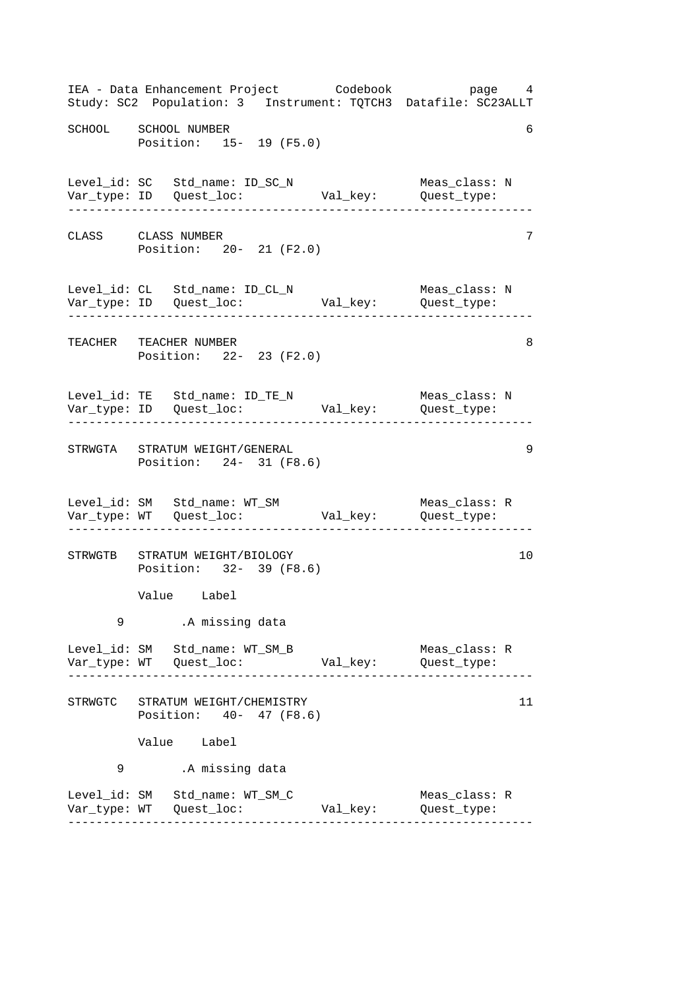------------------------------------------------------------------ ------------------------------------------------------------------ ------------------------------------------------------------------ ------------------------------------------------------------------ ------------------------------------------------------------------ ------------------------------------------------------------------ IEA - Data Enhancement Project Codebook page 4 Study: SC2 Population: 3 Instrument: TQTCH3 Datafile: SC23ALLT SCHOOL SCHOOL NUMBER 6 Position: 15- 19 (F5.0) Level\_id: SC Std\_name: ID\_SC\_N Meas\_class: N Var\_type: ID Quest\_loc: Val\_key: Quest\_type: CLASS CLASS NUMBER 7 Position: 20- 21 (F2.0) Level\_id: CL Std\_name: ID\_CL\_N Meas\_class: N Var\_type: ID Quest\_loc: Val\_key: Quest\_type: TEACHER TEACHER NUMBER 8 Position: 22- 23 (F2.0) Level\_id: TE Std\_name: ID\_TE\_N Meas\_class: N Var\_type: ID Quest\_loc: Val\_key: Quest\_type: STRWGTA STRATUM WEIGHT/GENERAL 9 Position: 24- 31 (F8.6) Level\_id: SM Std\_name: WT\_SM Meas\_class: R Var\_type: WT Quest\_loc: Val\_key: Quest\_type: STRWGTB STRATUM WEIGHT/BIOLOGY 10 Position: 32- 39 (F8.6) Value Label 9 .A missing data Level\_id: SM Std\_name: WT\_SM\_B Meas\_class: R Var\_type: WT Quest\_loc: Val\_key: Quest\_type: STRWGTC STRATUM WEIGHT/CHEMISTRY 11 Position: 40- 47 (F8.6) Value Label 9 .A missing data Level\_id: SM Std\_name: WT\_SM\_C Meas\_class: R Var\_type: WT Quest\_loc: Val\_key: Quest\_type: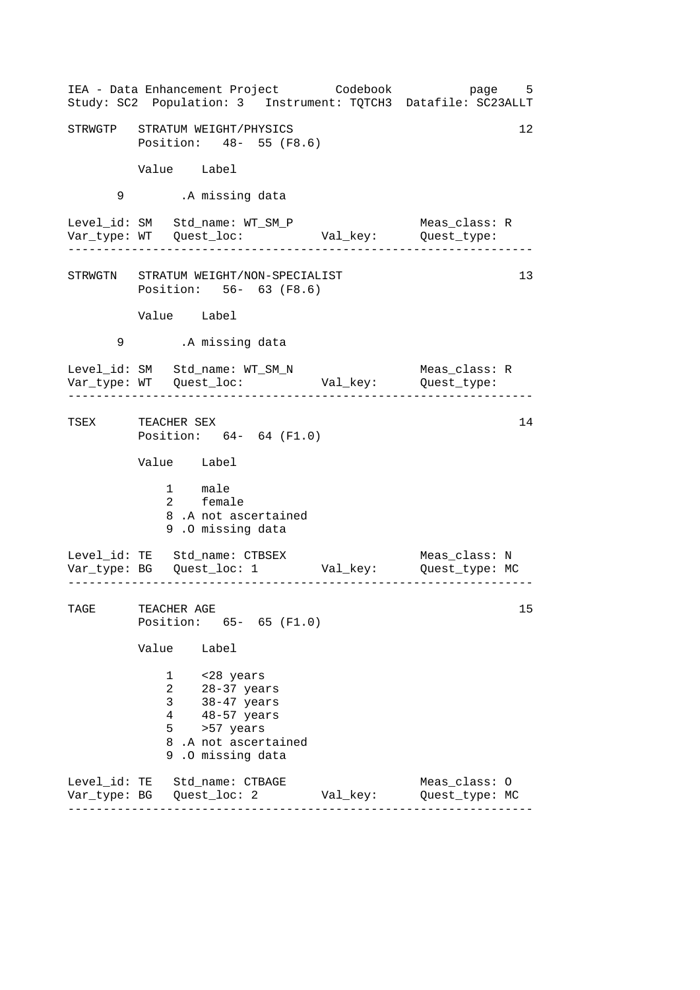|      | IEA - Data Enhancement Project Codebook<br>Study: SC2 Population: 3 Instrument: TQTCH3 Datafile: SC23ALLT                                                                        |                      | page 5                                       |
|------|----------------------------------------------------------------------------------------------------------------------------------------------------------------------------------|----------------------|----------------------------------------------|
|      | STRWGTP STRATUM WEIGHT/PHYSICS<br>Position: 48- 55 (F8.6)                                                                                                                        |                      | 12                                           |
|      | Value Label                                                                                                                                                                      |                      |                                              |
| 9    | .A missing data                                                                                                                                                                  |                      |                                              |
|      | Level_id: SM Std_name: WT_SM_P                                                                                                                                                   | Val_key: Quest_type: | Meas_class: R<br>. _ _ _ _ _ _ _ _ _ _ _ _ _ |
|      | STRWGTN STRATUM WEIGHT/NON-SPECIALIST<br>Position: 56- 63 (F8.6)                                                                                                                 |                      | 13                                           |
|      | Value Label                                                                                                                                                                      |                      |                                              |
| 9    | .A missing data                                                                                                                                                                  |                      |                                              |
|      | Level_id: SM Std_name: WT_SM_N                                                                                                                                                   |                      | Meas_class: R                                |
|      | TSEX TEACHER SEX<br>Position: 64- 64 (F1.0)                                                                                                                                      |                      | 14                                           |
|      | Value Label                                                                                                                                                                      |                      |                                              |
|      | 1 male<br>2 female<br>8.A not ascertained<br>9.0 missing data                                                                                                                    |                      |                                              |
|      | Level_id: TE Std_name: CTBSEX<br>Var_type: BG    Quest_loc: 1    Val_key:    Quest_type: MC                                                                                      |                      | Meas_class: N                                |
| TAGE | TEACHER AGE<br>Position: 65- 65 (F1.0)                                                                                                                                           |                      | 15                                           |
|      | Value<br>Label                                                                                                                                                                   |                      |                                              |
|      | <28 years<br>$\mathbf{1}$<br>$\overline{a}$<br>$28-37$ years<br>38-47 years<br>3 <sup>7</sup><br>48-57 years<br>4<br>>57 years<br>5 —<br>8.A not ascertained<br>9.0 missing data |                      |                                              |
|      | Level_id: TE Std_name: CTBAGE                                                                                                                                                    | Val_key:             | Meas_class: 0<br>Quest_type: MC              |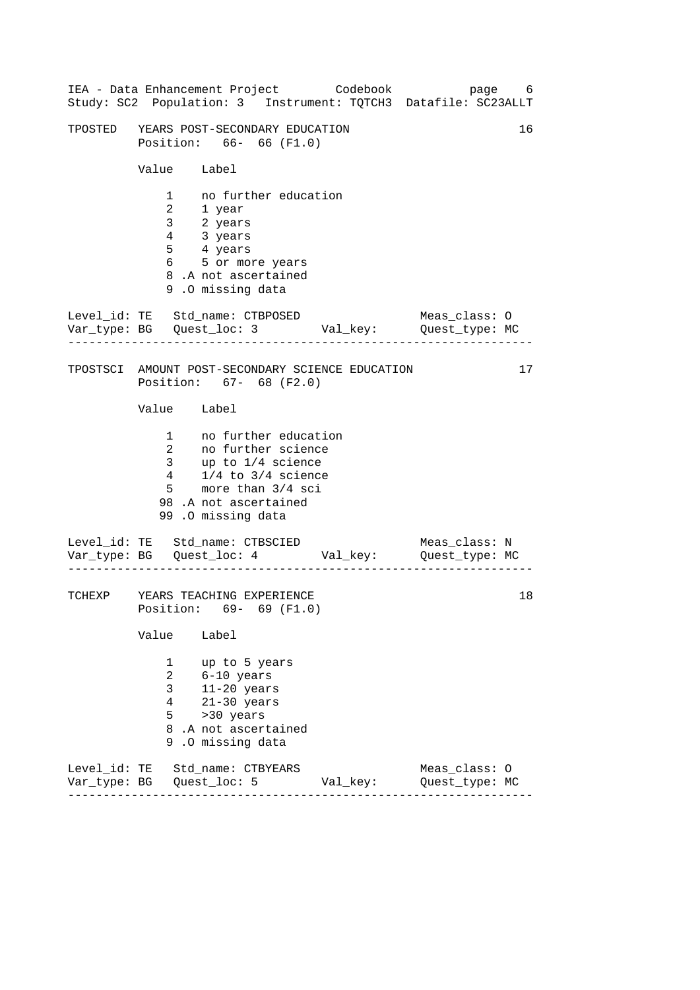------------------------------------------------------------------ ------------------------------------------------------------------ ------------------------------------------------------------------ IEA - Data Enhancement Project Codebook page 6 Study: SC2 Population: 3 Instrument: TQTCH3 Datafile: SC23ALLT TPOSTED YEARS POST-SECONDARY EDUCATION 16 Position: 66- 66 (F1.0) Value Label 1 no further education 2 1 year 3 2 years 4 3 years 5 4 years 6 5 or more years 8 .A not ascertained 9 .O missing data Level\_id: TE Std\_name: CTBPOSED Meas\_class: 0 Var\_type: BG Quest\_loc: 3 Val\_key: Quest\_type: MC TPOSTSCI AMOUNT POST-SECONDARY SCIENCE EDUCATION 17 Position: 67- 68 (F2.0) Value Label 1 no further education 2 no further science 3 up to 1/4 science 4 1/4 to 3/4 science 5 more than 3/4 sci 98 .A not ascertained 99 .O missing data Level\_id: TE Std\_name: CTBSCIED Meas\_class: N Var\_type: BG Quest\_loc: 4 Val\_key: Quest\_type: MC TCHEXP YEARS TEACHING EXPERIENCE 18 Position: 69- 69 (F1.0) Value Label 1 up to 5 years 2 6-10 years 3 11-20 years 4 21-30 years  $5 \rightarrow 30 \text{ years}$ 8 .A not ascertained 9 .O missing data Level\_id: TE Std\_name: CTBYEARS Meas\_class: O Var\_type: BG Quest\_loc: 5 Val\_key: Quest\_type: MC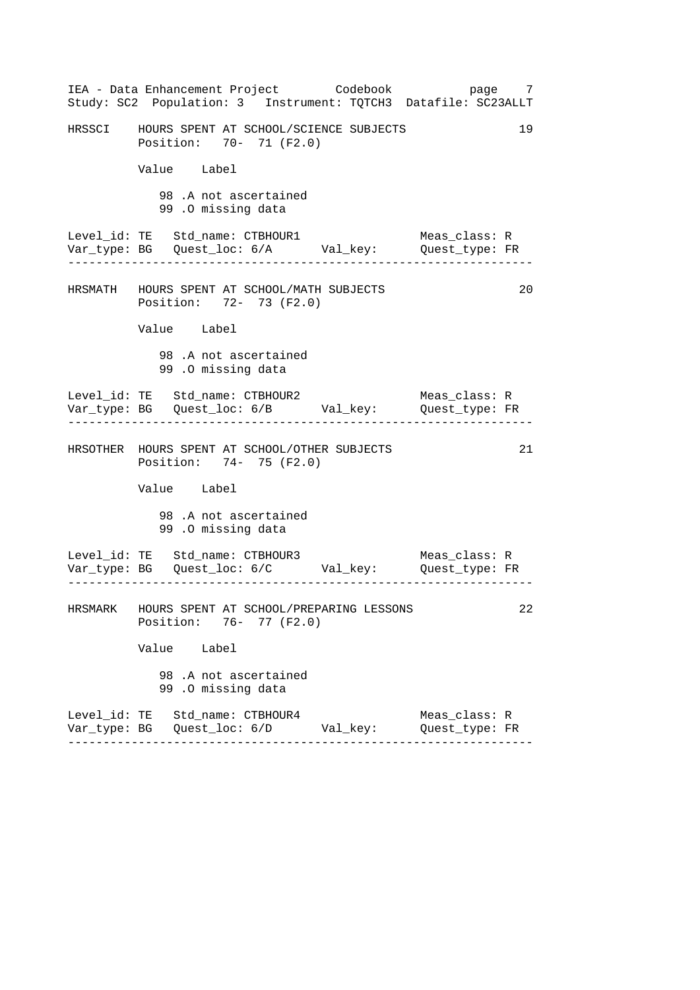|                                 |                   | IEA - Data Enhancement Project Codebook                                    |  | page 7<br>Study: SC2 Population: 3 Instrument: TQTCH3 Datafile: SC23ALLT      |    |
|---------------------------------|-------------------|----------------------------------------------------------------------------|--|-------------------------------------------------------------------------------|----|
|                                 |                   | HRSSCI HOURS SPENT AT SCHOOL/SCIENCE SUBJECTS<br>Position: 70- 71 (F2.0)   |  |                                                                               | 19 |
|                                 | Value Label       |                                                                            |  |                                                                               |    |
|                                 | 99.0 missing data | 98.A not ascertained                                                       |  |                                                                               |    |
|                                 |                   | Level_id: TE Std_name: CTBHOUR1                                            |  | Meas_class: R<br>Var_type: BG Quest_loc: 6/A Val_key: Quest_type: FR          |    |
|                                 |                   | HRSMATH HOURS SPENT AT SCHOOL/MATH SUBJECTS<br>Position: 72- 73 (F2.0)     |  |                                                                               | 20 |
|                                 | Value Label       |                                                                            |  |                                                                               |    |
|                                 | 99.0 missing data | 98.A not ascertained                                                       |  |                                                                               |    |
|                                 |                   | Level_id: TE Std_name: CTBHOUR2                                            |  | Meas_class: R<br>Var_type: BG    Quest_loc: 6/B    Val_key:    Quest_type: FR |    |
|                                 |                   | HRSOTHER HOURS SPENT AT SCHOOL/OTHER SUBJECTS<br>Position: 74- 75 (F2.0)   |  |                                                                               | 21 |
|                                 | Value Label       |                                                                            |  |                                                                               |    |
|                                 | 99.0 missing data | 98.A not ascertained                                                       |  |                                                                               |    |
|                                 |                   | Level_id: TE Std_name: CTBHOUR3                                            |  | Meas_class: R<br>Var_type: BG    Quest_loc: 6/C    Val_key:    Quest_type: FR |    |
|                                 |                   | HRSMARK HOURS SPENT AT SCHOOL/PREPARING LESSONS<br>Position: 76- 77 (F2.0) |  |                                                                               | 22 |
|                                 | Value Label       |                                                                            |  |                                                                               |    |
|                                 | 99.0 missing data | 98.A not ascertained                                                       |  |                                                                               |    |
| Level_id: TE Std_name: CTBHOUR4 |                   | Var_type: BG    Quest_loc: 6/D          Val_key:                           |  | Meas_class: R<br>Quest_type: FR                                               |    |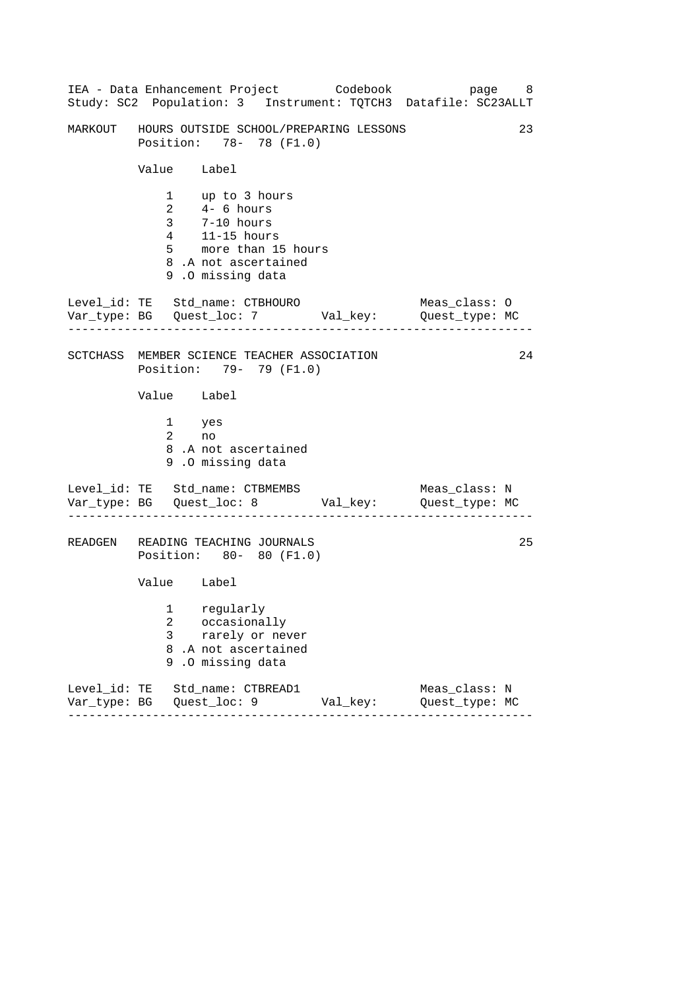|                  | IEA - Data Enhancement Project Codebook<br>Study: SC2 Population: 3 Instrument: TQTCH3 Datafile: SC23ALLT                            |          | page 8                          |    |
|------------------|--------------------------------------------------------------------------------------------------------------------------------------|----------|---------------------------------|----|
|                  | MARKOUT HOURS OUTSIDE SCHOOL/PREPARING LESSONS<br>Position: 78- 78 (F1.0)                                                            |          |                                 | 23 |
| Value Label      |                                                                                                                                      |          |                                 |    |
|                  | 1 up to 3 hours<br>2 4-6 hours<br>3 7-10 hours<br>$4$ 11-15 hours<br>5 more than 15 hours<br>8.A not ascertained<br>9.0 missing data |          |                                 |    |
| ______________   | Level_id: TE Std_name: CTBHOURO Meas_class: 0<br>Var_type: BG Quest_loc: 7 Val_key: Quest_type: MC                                   |          |                                 |    |
|                  | SCTCHASS MEMBER SCIENCE TEACHER ASSOCIATION<br>Position: 79- 79 (F1.0)                                                               |          |                                 | 24 |
| Value Label      |                                                                                                                                      |          |                                 |    |
| 1 yes<br>2 no    | 8.A not ascertained<br>9.0 missing data                                                                                              |          |                                 |    |
|                  | Level_id: TE Std_name: CTBMEMBS<br>Var_type: BG    Quest_loc: 8    Val_key:    Quest_type: MC                                        |          | Meas_class: N                   |    |
|                  | READGEN READING TEACHING JOURNALS<br>Position: 80- 80 (F1.0)                                                                         |          |                                 | 25 |
| Value Label      |                                                                                                                                      |          |                                 |    |
| 2<br>3<br>8<br>9 | 1 regularly<br>occasionally<br>rarely or never<br>.A not ascertained<br>.O missing data                                              |          |                                 |    |
|                  | Level_id: TE Std_name: CTBREAD1                                                                                                      | Val_key: | Meas_class: N<br>Quest_type: MC |    |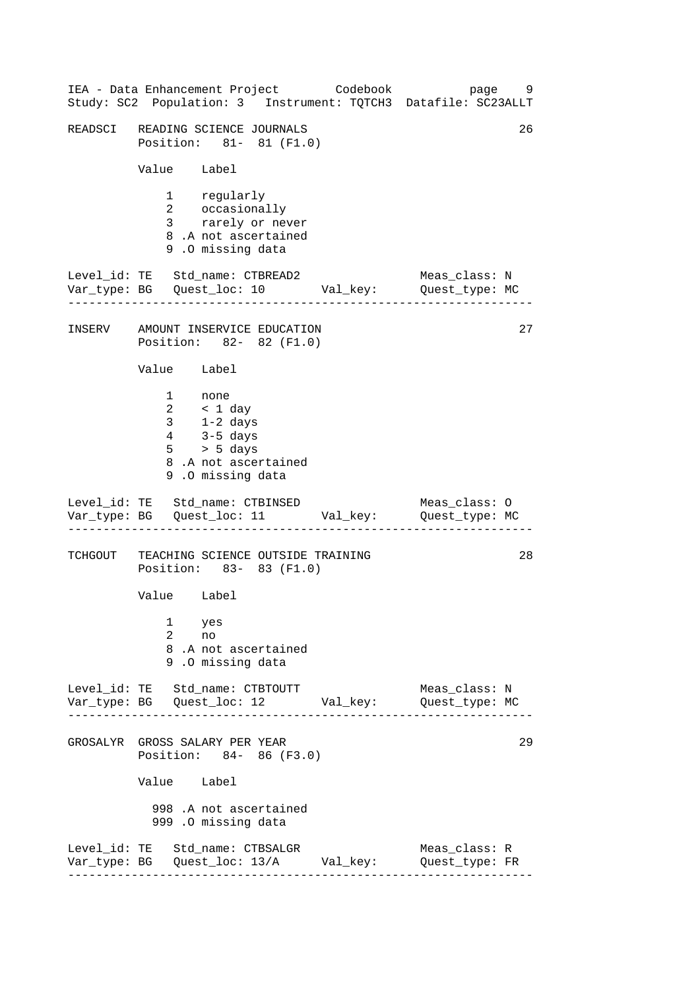------------------------------------------------------------------ ------------------------------------------------------------------ ------------------------------------------------------------------ ------------------------------------------------------------------ IEA - Data Enhancement Project Codebook page 9 Study: SC2 Population: 3 Instrument: TQTCH3 Datafile: SC23ALLT READSCI READING SCIENCE JOURNALS 26 Position: 81- 81 (F1.0) Value Label 1 regularly 2 occasionally 3 rarely or never 8 .A not ascertained 9 .O missing data Level\_id: TE Std\_name: CTBREAD2 Meas\_class: N Var\_type: BG Quest\_loc: 10 Val\_key: Quest\_type: MC INSERV AMOUNT INSERVICE EDUCATION 27 Position: 82- 82 (F1.0) Value Label 1 none 2 < 1 day 3 1-2 days 4 3-5 days 5 > 5 days 8 .A not ascertained 9 .O missing data Level\_id: TE Std\_name: CTBINSED Meas\_class: 0 Var\_type: BG Quest\_loc: 11 Val\_key: Quest\_type: MC TCHGOUT TEACHING SCIENCE OUTSIDE TRAINING 28 Position: 83- 83 (F1.0) Value Label 1 yes 2 no 8 .A not ascertained 9 .O missing data Level\_id: TE Std\_name: CTBTOUTT Meas\_class: N Var\_type: BG Quest\_loc: 12 Val\_key: Quest\_type: MC GROSALYR GROSS SALARY PER YEAR 29 Position: 84- 86 (F3.0) Value Label 998 .A not ascertained 999 .O missing data Level\_id: TE Std\_name: CTBSALGR Meas\_class: R Var\_type: BG Quest\_loc: 13/A Val\_key: Quest\_type: FR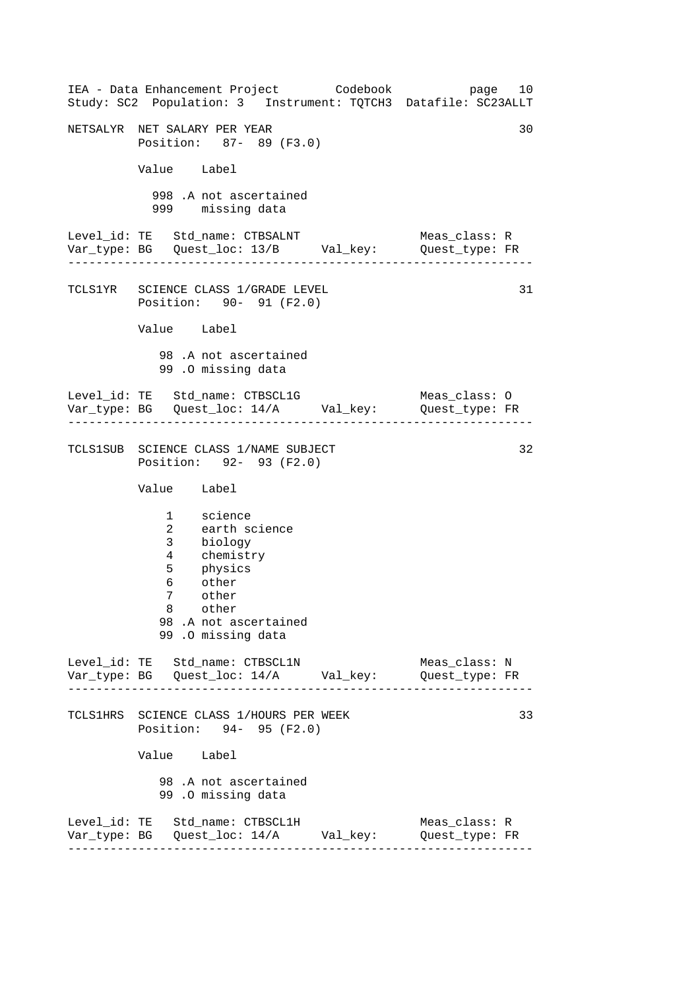------------------------------------------------------------------ ------------------------------------------------------------------ ------------------------------------------------------------------ ------------------------------------------------------------------ IEA - Data Enhancement Project Codebook page 10 Study: SC2 Population: 3 Instrument: TQTCH3 Datafile: SC23ALLT NETSALYR NET SALARY PER YEAR 30 Position: 87- 89 (F3.0) Value Label 998 .A not ascertained 999 missing data Level\_id: TE Std\_name: CTBSALNT Meas\_class: R Var\_type: BG Quest\_loc: 13/B Val\_key: Quest\_type: FR TCLS1YR SCIENCE CLASS 1/GRADE LEVEL 31 Position: 90- 91 (F2.0) Value Label 98 .A not ascertained 99 .O missing data Level\_id: TE Std\_name: CTBSCL1G Meas\_class: 0 Var\_type: BG Quest\_loc: 14/A Val\_key: Quest\_type: FR TCLS1SUB SCIENCE CLASS 1/NAME SUBJECT 32 Position: 92- 93 (F2.0) Value Label 1 science 2 earth science 3 biology 4 chemistry 5 physics 6 other other 8 other 98 .A not ascertained 99 .O missing data Level\_id: TE Std\_name: CTBSCL1N Meas\_class: N Var\_type: BG Quest\_loc: 14/A Val\_key: Quest\_type: FR TCLS1HRS SCIENCE CLASS 1/HOURS PER WEEK Position: 94- 95 (F2.0) Value Label 98 .A not ascertained 99 .O missing data Level\_id: TE Std\_name: CTBSCL1H Meas\_class: R Var\_type: BG Quest\_loc: 14/A Val\_key: Quest\_type: FR 33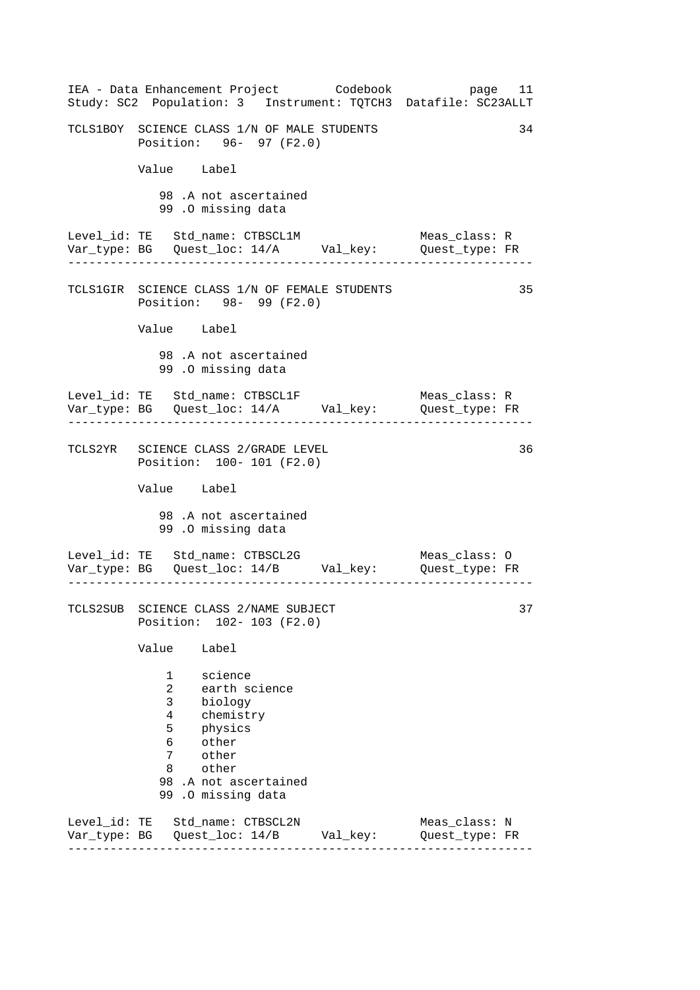|              | IEA - Data Enhancement Project Codebook<br>Study: SC2 Population: 3 Instrument: TQTCH3 Datafile: SC23ALLT                                                                                 | page 11                         |
|--------------|-------------------------------------------------------------------------------------------------------------------------------------------------------------------------------------------|---------------------------------|
|              | TCLS1BOY SCIENCE CLASS 1/N OF MALE STUDENTS<br>Position: 96- 97 (F2.0)                                                                                                                    | 34                              |
|              | Value Label                                                                                                                                                                               |                                 |
|              | 98.A not ascertained<br>99 .0 missing data                                                                                                                                                |                                 |
|              | Level_id: TE Std_name: CTBSCL1M                                                                                                                                                           | Meas_class: R                   |
|              | TCLS1GIR SCIENCE CLASS 1/N OF FEMALE STUDENTS<br>Position: 98- 99 (F2.0)                                                                                                                  | 35                              |
|              | Value Label                                                                                                                                                                               |                                 |
|              | 98.A not ascertained<br>99.0 missing data                                                                                                                                                 |                                 |
|              | Level_id: TE Std_name: CTBSCL1F<br>Var_type: BG    Quest_loc: 14/A    Val_key:    Quest_type: FR                                                                                          | Meas_class: R                   |
|              | TCLS2YR SCIENCE CLASS 2/GRADE LEVEL<br>Position: 100- 101 (F2.0)                                                                                                                          | 36                              |
|              | Value Label                                                                                                                                                                               |                                 |
|              | 98 .A not ascertained<br>99.0 missing data                                                                                                                                                |                                 |
|              | Level_id: TE Std_name: CTBSCL2G<br>Var_type: BG    Quest_loc: 14/B    Val_key:    Quest_type: FR<br>___________________________                                                           | Meas_class: O                   |
|              | TCLS2SUB SCIENCE CLASS 2/NAME SUBJECT<br>Position: 102- 103 (F2.0)                                                                                                                        | 37                              |
|              | Value<br>Label                                                                                                                                                                            |                                 |
|              | science<br>1<br>$\overline{a}$<br>earth science<br>3<br>biology<br>4<br>chemistry<br>5<br>physics<br>6<br>other<br>7<br>other<br>other<br>8<br>98 .A not ascertained<br>99.0 missing data |                                 |
| Var_type: BG | Level_id: TE Std_name: CTBSCL2N<br>Quest_loc: 14/B Val_key:                                                                                                                               | Meas_class: N<br>Quest_type: FR |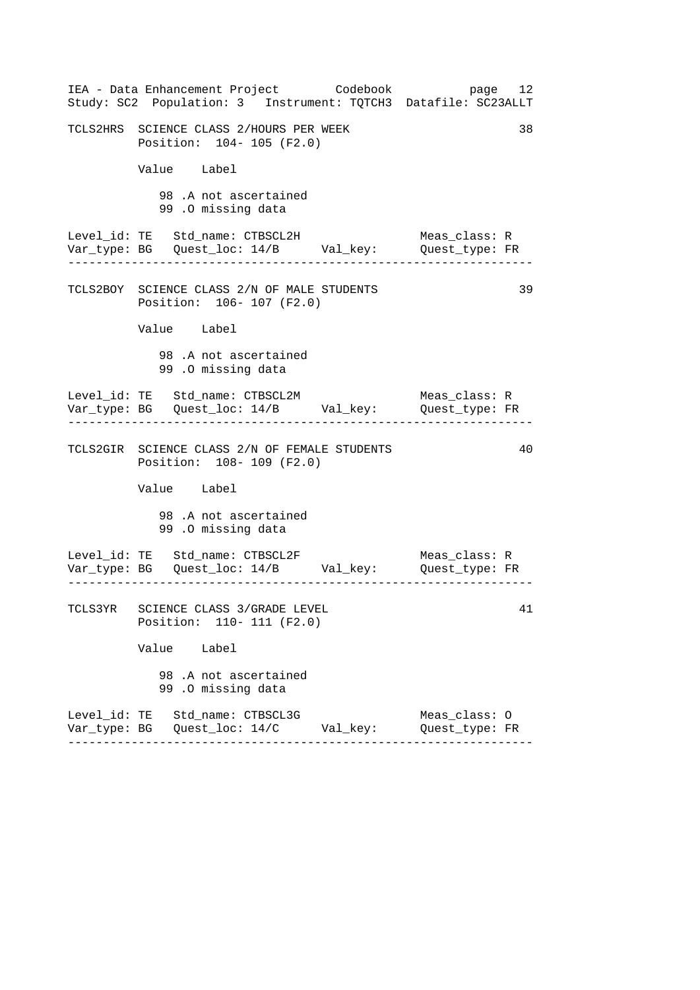| IEA - Data Enhancement Project Codebook<br>Study: SC2 Population: 3 Instrument: TQTCH3 Datafile: SC23ALLT                                | page 12                                          |
|------------------------------------------------------------------------------------------------------------------------------------------|--------------------------------------------------|
| TCLS2HRS SCIENCE CLASS 2/HOURS PER WEEK<br>Position: 104- 105 (F2.0)                                                                     | 38                                               |
| Value Label                                                                                                                              |                                                  |
| 98.A not ascertained<br>99.0 missing data                                                                                                |                                                  |
| Level_id: TE Std_name: CTBSCL2H<br>Var_type: BG    Quest_loc: 14/B    Val_key:    Quest_type: FR                                         | Meas class: R                                    |
| TCLS2BOY SCIENCE CLASS 2/N OF MALE STUDENTS<br>Position: 106- 107 (F2.0)                                                                 | 39                                               |
| Value Label                                                                                                                              |                                                  |
| 98.A not ascertained<br>99.0 missing data                                                                                                |                                                  |
| Level_id: TE Std_name: CTBSCL2M<br>Var_type: BG    Quest_loc: 14/B    Val_key:    Quest_type: FR<br>------------------------------------ | Meas_class: R<br>. Lie die Lie die Lie die Lie d |
| TCLS2GIR SCIENCE CLASS 2/N OF FEMALE STUDENTS<br>Position: 108- 109 (F2.0)                                                               | 40                                               |
| Value Label                                                                                                                              |                                                  |
| 98.A not ascertained<br>99.0 missing data                                                                                                |                                                  |
| Level_id: TE Std_name: CTBSCL2F                                                                                                          | Meas_class: R                                    |
| TCLS3YR SCIENCE CLASS 3/GRADE LEVEL<br>Position: 110- 111 (F2.0)                                                                         | 41                                               |
| Value Label                                                                                                                              |                                                  |
| 98 .A not ascertained<br>99.0 missing data                                                                                               |                                                  |
| Level_id: TE Std_name: CTBSCL3G                                                                                                          | Meas_class: 0<br>Quest_type: FR                  |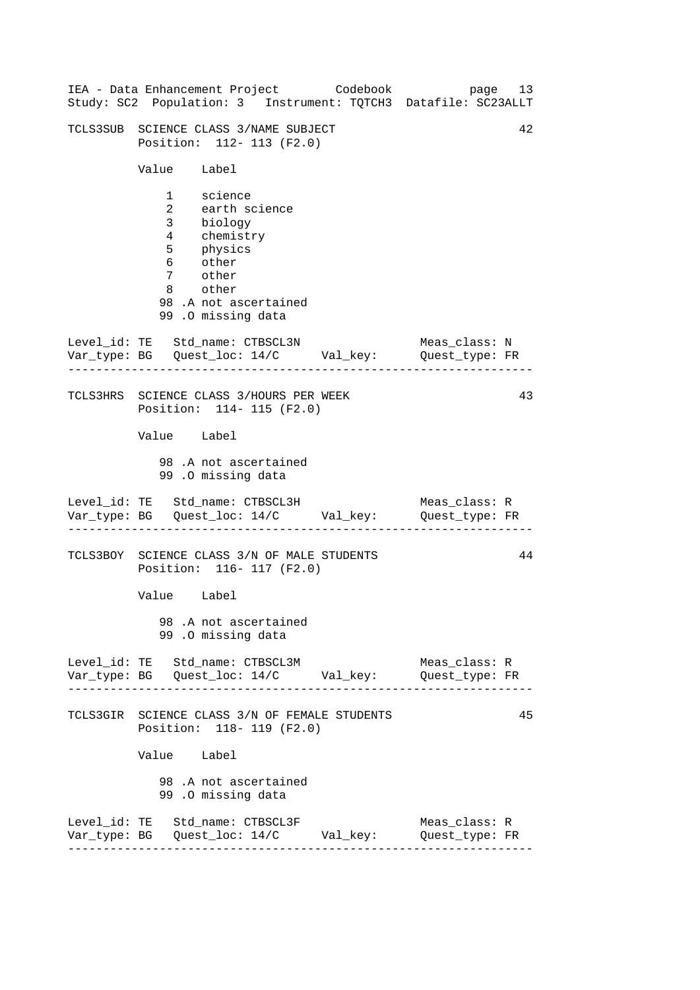|                               |                                                                                                                    | IEA - Data Enhancement Project Codebook<br>Study: SC2 Population: 3 Instrument: TQTCH3 Datafile: SC23ALLT | page 13                         |    |
|-------------------------------|--------------------------------------------------------------------------------------------------------------------|-----------------------------------------------------------------------------------------------------------|---------------------------------|----|
|                               | TCLS3SUB SCIENCE CLASS 3/NAME SUBJECT<br>Position: 112- 113 (F2.0)                                                 |                                                                                                           |                                 | 42 |
| Value Label                   |                                                                                                                    |                                                                                                           |                                 |    |
| 6 other<br>7 other<br>8 other | 1 science<br>2 earth science<br>3 biology<br>4 chemistry<br>5 physics<br>98.A not ascertained<br>99.0 missing data |                                                                                                           |                                 |    |
|                               | Level_id: TE Std_name: CTBSCL3N                                                                                    | Var_type: BG    Quest_loc: 14/C    Val_key:    Quest_type: FR                                             | Meas_class: N                   |    |
|                               | TCLS3HRS SCIENCE CLASS 3/HOURS PER WEEK<br>Position: 114- 115 (F2.0)                                               |                                                                                                           |                                 | 43 |
| Value Label                   |                                                                                                                    |                                                                                                           |                                 |    |
|                               | 98.A not ascertained<br>99.0 missing data                                                                          |                                                                                                           |                                 |    |
|                               | Level_id: TE Std_name: CTBSCL3H                                                                                    | Var_type: BG    Quest_loc: 14/C    Val_key:    Quest_type: FR                                             | Meas_class: R                   |    |
|                               | TCLS3BOY SCIENCE CLASS 3/N OF MALE STUDENTS<br>Position: 116- 117 (F2.0)                                           |                                                                                                           |                                 | 44 |
| Value Label                   |                                                                                                                    |                                                                                                           |                                 |    |
|                               | 98 .A not ascertained<br>99.0 missing data                                                                         |                                                                                                           |                                 |    |
|                               | Level_id: TE Std_name: CTBSCL3M                                                                                    | Var_type: BG    Quest_loc: 14/C    Val_key:    Quest_type: FR                                             | Meas_class: R                   |    |
|                               | Position: 118- 119 (F2.0)                                                                                          | TCLS3GIR SCIENCE CLASS 3/N OF FEMALE STUDENTS                                                             |                                 | 45 |
| Value Label                   |                                                                                                                    |                                                                                                           |                                 |    |
|                               | 98.A not ascertained<br>99.0 missing data                                                                          |                                                                                                           |                                 |    |
|                               | Level_id: TE Std_name: CTBSCL3F<br>. <u>.</u> .                                                                    | Var_type: BG    Quest_loc: 14/C    Val_key:                                                               | Meas_class: R<br>Quest_type: FR |    |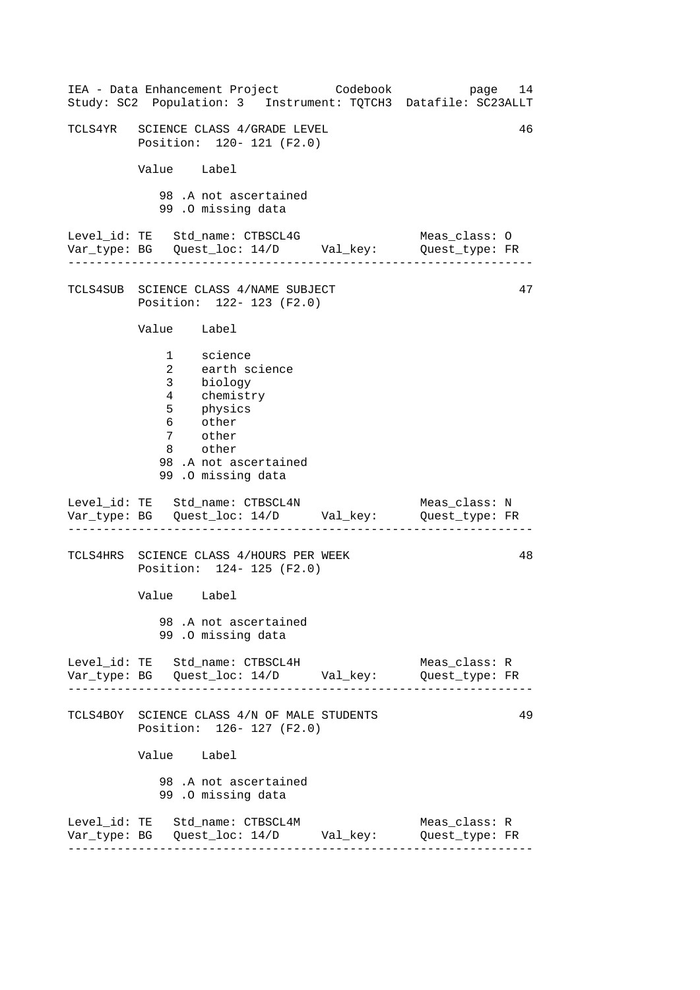| IEA - Data Enhancement Project Codebook<br>Study: SC2 Population: 3 Instrument: TQTCH3 Datafile: SC23ALLT                                                         | page 14                         |    |
|-------------------------------------------------------------------------------------------------------------------------------------------------------------------|---------------------------------|----|
| TCLS4YR SCIENCE CLASS 4/GRADE LEVEL<br>Position: 120- 121 (F2.0)                                                                                                  |                                 | 46 |
| Value Label                                                                                                                                                       |                                 |    |
| 98.A not ascertained<br>99.0 missing data                                                                                                                         |                                 |    |
|                                                                                                                                                                   |                                 |    |
| TCLS4SUB SCIENCE CLASS 4/NAME SUBJECT<br>Position: 122- 123 (F2.0)                                                                                                |                                 | 47 |
| Value Label                                                                                                                                                       |                                 |    |
| 1 science<br>earth science<br>$\mathbf{2}$<br>3 biology<br>4 chemistry<br>5 physics<br>6 other<br>7 other<br>8 other<br>98.A not ascertained<br>99.0 missing data |                                 |    |
| Level_id: TE Std_name: CTBSCL4N<br>Var_type: BG    Quest_loc: 14/D    Val_key:    Quest_type: FR                                                                  | Meas_class: N                   |    |
| TCLS4HRS SCIENCE CLASS 4/HOURS PER WEEK<br>Position: 124- 125 (F2.0)                                                                                              |                                 | 48 |
| Value Label                                                                                                                                                       |                                 |    |
| 98.A not ascertained<br>99.0 missing data                                                                                                                         |                                 |    |
| Level_id: TE Std_name: CTBSCL4H                                                                                                                                   | Meas_class: R<br>Quest_type: FR |    |
| TCLS4BOY SCIENCE CLASS 4/N OF MALE STUDENTS<br>Position: 126- 127 (F2.0)                                                                                          |                                 | 49 |
| Value Label                                                                                                                                                       |                                 |    |
| 98 .A not ascertained<br>99.0 missing data                                                                                                                        |                                 |    |
| Level_id: TE Std_name: CTBSCL4M                                                                                                                                   | Meas_class: R<br>Quest_type: FR |    |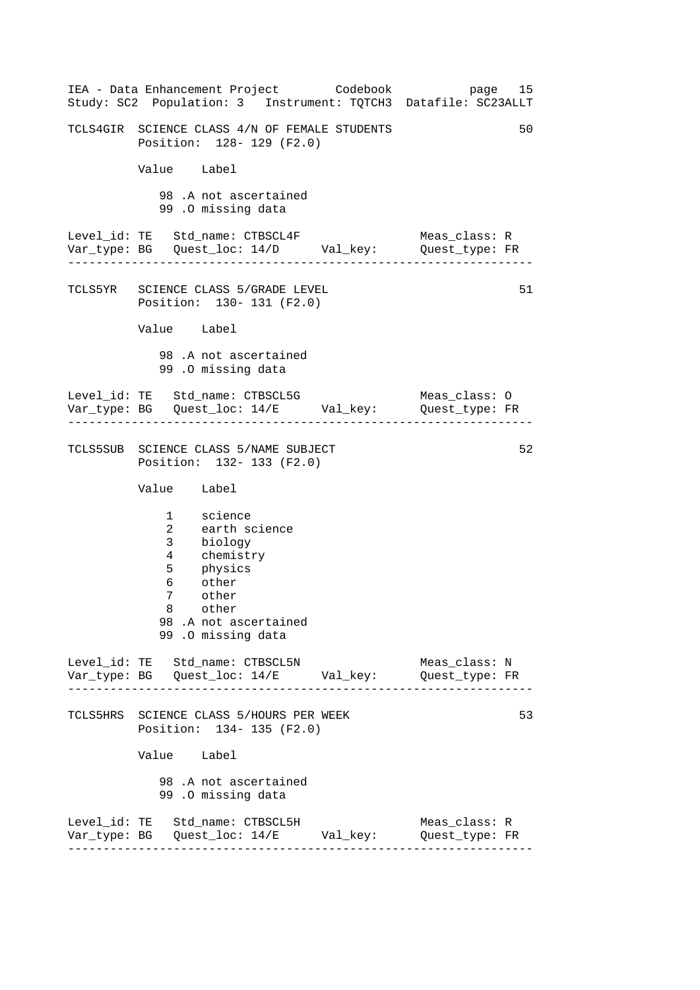------------------------------------------------------------------ ------------------------------------------------------------------ ------------------------------------------------------------------ ------------------------------------------------------------------ IEA - Data Enhancement Project Codebook page 15 Study: SC2 Population: 3 Instrument: TQTCH3 Datafile: SC23ALLT TCLS4GIR SCIENCE CLASS 4/N OF FEMALE STUDENTS 50 Position: 128- 129 (F2.0) Value Label 98 .A not ascertained 99 .O missing data Level\_id: TE Std\_name: CTBSCL4F Meas\_class: R Var\_type: BG Quest\_loc: 14/D Val\_key: Quest\_type: FR TCLS5YR SCIENCE CLASS 5/GRADE LEVEL Position: 130- 131 (F2.0) Value Label 98 .A not ascertained 99 .O missing data Level\_id: TE Std\_name: CTBSCL5G Meas\_class: O Var\_type: BG Quest\_loc: 14/E Val\_key: Quest\_type: FR TCLS5SUB SCIENCE CLASS 5/NAME SUBJECT Position: 132- 133 (F2.0) Value Label 1 science 2 earth science 3 biology 4 chemistry 5 physics 6 other 7 other 8 other 98 .A not ascertained 99 .O missing data Level\_id: TE Std\_name: CTBSCL5N Meas\_class: N Var\_type: BG Quest\_loc: 14/E Val\_key: Quest\_type: FR TCLS5HRS SCIENCE CLASS 5/HOURS PER WEEK Position: 134- 135 (F2.0) Value Label 98 .A not ascertained 99 .O missing data Level\_id: TE Std\_name: CTBSCL5H Meas\_class: R Var\_type: BG Quest\_loc: 14/E Val\_key: Quest\_type: FR 51 52 53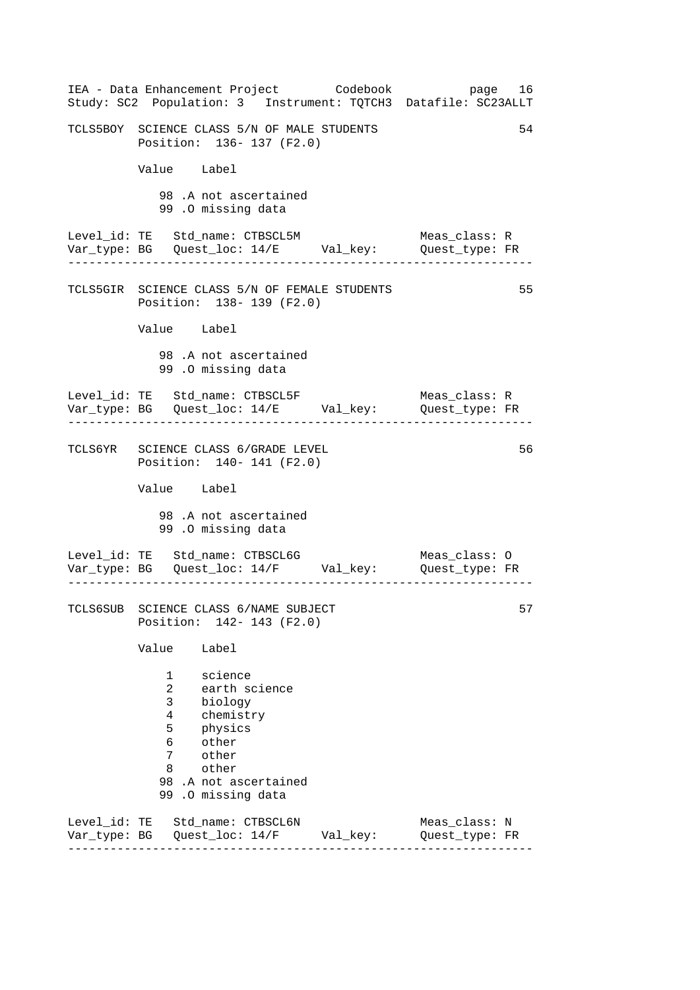| IEA - Data Enhancement Project Codebook<br>Study: SC2 Population: 3 Instrument: TQTCH3 Datafile: SC23ALLT                                                                    |  | page 16                         |  |  |  |
|------------------------------------------------------------------------------------------------------------------------------------------------------------------------------|--|---------------------------------|--|--|--|
| 54<br>TCLS5BOY SCIENCE CLASS 5/N OF MALE STUDENTS<br>Position: 136- 137 (F2.0)                                                                                               |  |                                 |  |  |  |
| Value Label                                                                                                                                                                  |  |                                 |  |  |  |
| 98.A not ascertained<br>99.0 missing data                                                                                                                                    |  |                                 |  |  |  |
| Level_id: TE Std_name: CTBSCL5M<br>Var_type: BG Quest_loc: 14/E Val_key: Quest_type: FR                                                                                      |  | Meas_class: R                   |  |  |  |
| TCLS5GIR SCIENCE CLASS 5/N OF FEMALE STUDENTS<br>Position: 138- 139 (F2.0)                                                                                                   |  | 55                              |  |  |  |
| Value Label                                                                                                                                                                  |  |                                 |  |  |  |
| 98.A not ascertained<br>99 .0 missing data                                                                                                                                   |  |                                 |  |  |  |
| Level_id: TE Std_name: CTBSCL5F<br>Var_type: BG    Quest_loc: 14/E    Val_key:    Quest_type: FR<br>. Le Le Le Le Le Le Le Le Le Le L                                        |  | Meas class: R                   |  |  |  |
| TCLS6YR SCIENCE CLASS 6/GRADE LEVEL<br>Position: 140- 141 (F2.0)                                                                                                             |  | 56                              |  |  |  |
| Value Label                                                                                                                                                                  |  |                                 |  |  |  |
| 98.A not ascertained<br>99.0 missing data                                                                                                                                    |  |                                 |  |  |  |
| Level_id: TE Std_name: CTBSCL6G<br>Var_type: BG    Quest_loc: 14/F    Val_key:    Quest_type: FR                                                                             |  | Meas_class: O                   |  |  |  |
| TCLS6SUB SCIENCE CLASS 6/NAME SUBJECT<br>Position: 142- 143 (F2.0)                                                                                                           |  | 57                              |  |  |  |
| Value<br>Label                                                                                                                                                               |  |                                 |  |  |  |
| science<br>1<br>2<br>earth science<br>3<br>biology<br>4<br>chemistry<br>5<br>physics<br>other<br>6<br>7<br>other<br>other<br>8<br>98 .A not ascertained<br>99.0 missing data |  |                                 |  |  |  |
| Level_id: TE Std_name: CTBSCL6N<br>Var_type: BG    Quest_loc: 14/F    Val_key:                                                                                               |  | Meas_class: N<br>Quest_type: FR |  |  |  |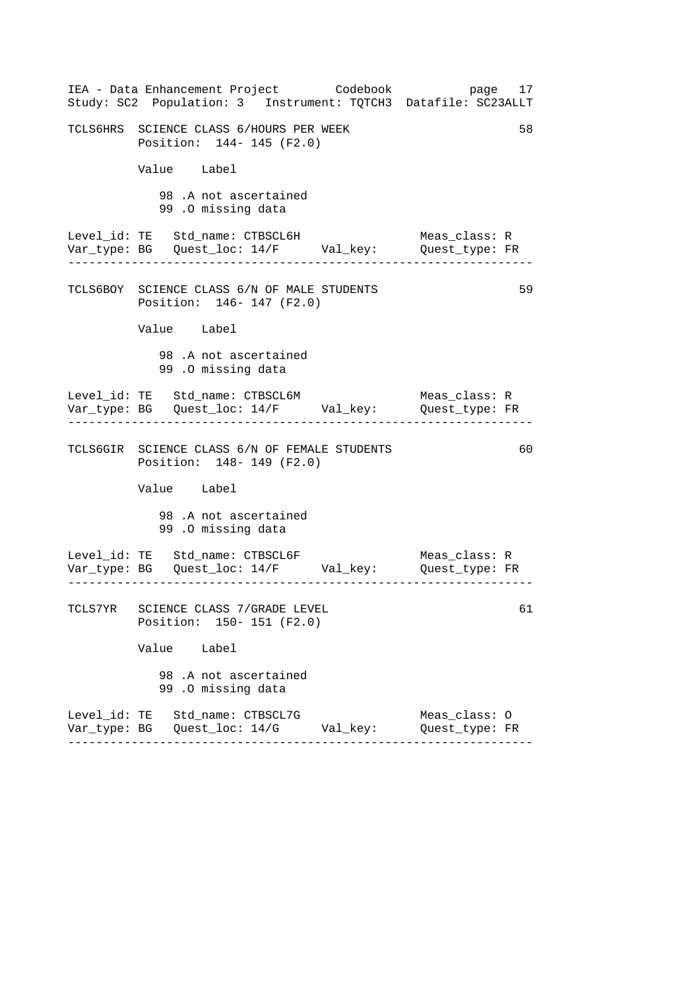| IEA - Data Enhancement Project Codebook<br>Study: SC2 Population: 3 Instrument: TQTCH3 Datafile: SC23ALLT | page 17                         |
|-----------------------------------------------------------------------------------------------------------|---------------------------------|
| TCLS6HRS SCIENCE CLASS 6/HOURS PER WEEK<br>Position: 144- 145 (F2.0)                                      | 58                              |
| Value Label                                                                                               |                                 |
| 98.A not ascertained<br>99.0 missing data                                                                 |                                 |
| Level_id: TE Std_name: CTBSCL6H<br>Var_type: BG    Quest_loc: 14/F    Val_key:    Quest_type: FR          | Meas_class: R                   |
| TCLS6BOY SCIENCE CLASS 6/N OF MALE STUDENTS<br>Position: 146- 147 (F2.0)                                  | 59                              |
| Value Label                                                                                               |                                 |
| 98.A not ascertained<br>99.0 missing data                                                                 |                                 |
| Level_id: TE Std_name: CTBSCL6M<br>Var_type: BG    Quest_loc: 14/F    Val_key:    Quest_type: FR          | Meas_class: R                   |
| TCLS6GIR SCIENCE CLASS 6/N OF FEMALE STUDENTS<br>Position: 148- 149 (F2.0)                                | 60                              |
| Value Label                                                                                               |                                 |
| 98.A not ascertained<br>99.0 missing data                                                                 |                                 |
| Level_id: TE Std_name: CTBSCL6F<br>Var_type: BG Quest_loc: 14/F Val_key: Quest_type: FR                   | Meas_class: R                   |
| TCLS7YR SCIENCE CLASS 7/GRADE LEVEL<br>Position: 150- 151 (F2.0)                                          | 61                              |
| Value Label                                                                                               |                                 |
| 98.A not ascertained<br>99.0 missing data                                                                 |                                 |
| Level_id: TE Std_name: CTBSCL7G                                                                           | Meas_class: 0<br>Quest_type: FR |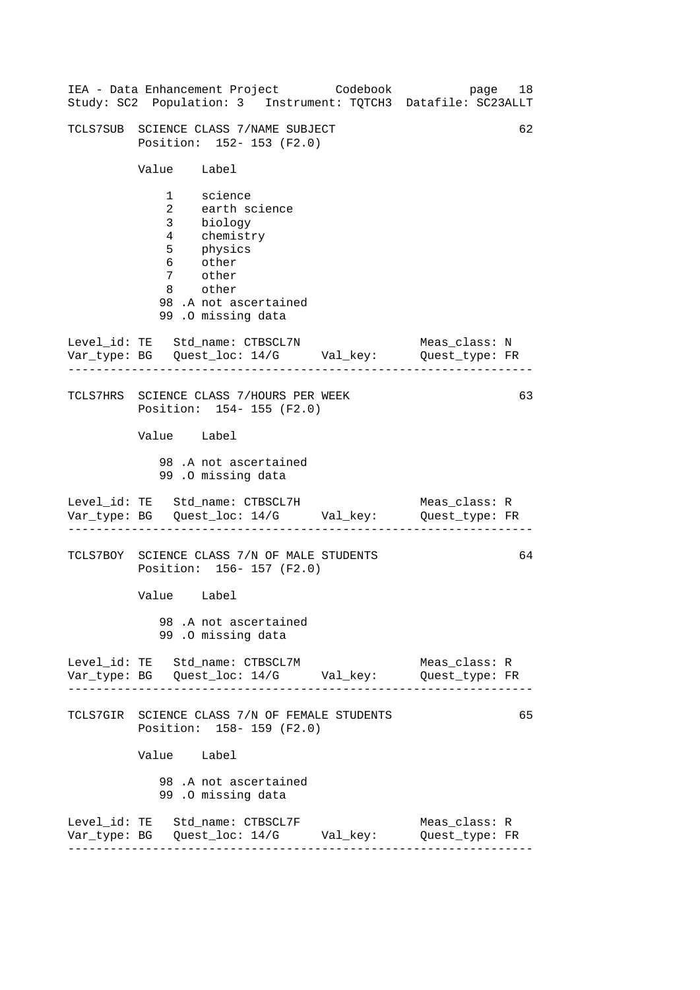| IEA - Data Enhancement Project Codebook<br>Study: SC2 Population: 3 Instrument: TQTCH3 Datafile: SC23ALLT                                           | page 18                         |    |
|-----------------------------------------------------------------------------------------------------------------------------------------------------|---------------------------------|----|
| TCLS7SUB SCIENCE CLASS 7/NAME SUBJECT<br>Position: 152- 153 (F2.0)                                                                                  |                                 | 62 |
| Value Label                                                                                                                                         |                                 |    |
| 1 science<br>2 earth science<br>3 biology<br>4 chemistry<br>5 physics<br>6 other<br>7 other<br>8 other<br>98.A not ascertained<br>99.0 missing data |                                 |    |
| Level_id: TE Std_name: CTBSCL7N<br>Var_type: BG    Quest_loc: 14/G    Val_key:    Quest_type: FR                                                    | Meas_class: N                   |    |
| TCLS7HRS SCIENCE CLASS 7/HOURS PER WEEK<br>Position: 154- 155 (F2.0)                                                                                |                                 | 63 |
| Value Label<br>98.A not ascertained                                                                                                                 |                                 |    |
| 99.0 missing data                                                                                                                                   |                                 |    |
| Level_id: TE Std_name: CTBSCL7H<br>Var_type: BG    Quest_loc: 14/G    Val_key:    Quest_type: FR                                                    | Meas_class: R                   |    |
| TCLS7BOY SCIENCE CLASS 7/N OF MALE STUDENTS<br>Position: 156-157 (F2.0)                                                                             |                                 | 64 |
| Value Label                                                                                                                                         |                                 |    |
| 98.A not ascertained<br>99.0 missing data                                                                                                           |                                 |    |
| Level_id: TE Std_name: CTBSCL7M<br>Var_type: BG    Quest_loc: 14/G    Val_key:    Quest_type: FR                                                    | Meas_class: R                   |    |
| TCLS7GIR SCIENCE CLASS 7/N OF FEMALE STUDENTS<br>Position: 158- 159 (F2.0)                                                                          |                                 | 65 |
| Value Label                                                                                                                                         |                                 |    |
| 98.A not ascertained<br>99.0 missing data                                                                                                           |                                 |    |
| Level_id: TE Std_name: CTBSCL7F<br>Var_type: BG    Quest_loc: 14/G    Val_key:                                                                      | Meas_class: R<br>Quest_type: FR |    |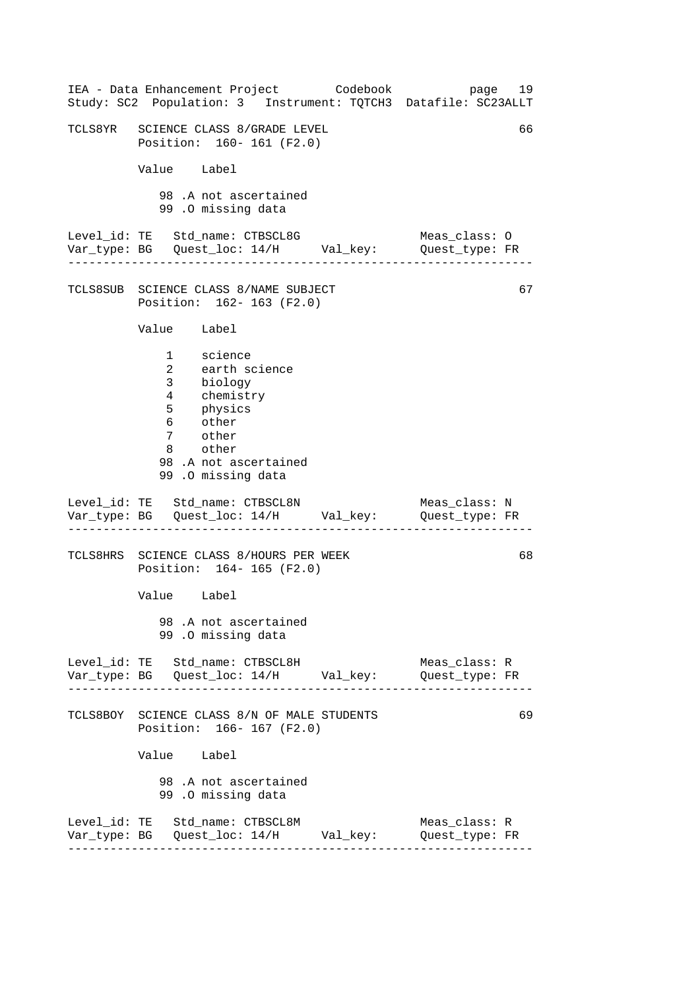| IEA - Data Enhancement Project Codebook<br>Study: SC2 Population: 3 Instrument: TQTCH3 Datafile: SC23ALLT                                                           | page 19                         |    |
|---------------------------------------------------------------------------------------------------------------------------------------------------------------------|---------------------------------|----|
| TCLS8YR SCIENCE CLASS 8/GRADE LEVEL<br>Position: 160- 161 (F2.0)                                                                                                    |                                 | 66 |
| Value Label                                                                                                                                                         |                                 |    |
| 98.A not ascertained<br>99.0 missing data                                                                                                                           |                                 |    |
| Level_id: TE Std_name: CTBSCL8G<br>Var_type: BG    Quest_loc: 14/H    Val_key:    Quest_type: FR                                                                    | Meas_class: O                   |    |
| TCLS8SUB SCIENCE CLASS 8/NAME SUBJECT<br>Position: 162- 163 (F2.0)                                                                                                  |                                 | 67 |
| Value Label                                                                                                                                                         |                                 |    |
| 1 science<br>earth science<br>$\overline{2}$<br>3 biology<br>4 chemistry<br>5 physics<br>6 other<br>7 other<br>8 other<br>98.A not ascertained<br>99.0 missing data |                                 |    |
| Level_id: TE Std_name: CTBSCL8N<br>Var_type: BG    Quest_loc: 14/H    Val_key:    Quest_type: FR                                                                    | Meas class: N                   |    |
| TCLS8HRS SCIENCE CLASS 8/HOURS PER WEEK<br>Position: 164-165 (F2.0)                                                                                                 |                                 | 68 |
| Value Label                                                                                                                                                         |                                 |    |
| 98.A not ascertained<br>99.0 missing data                                                                                                                           |                                 |    |
| Level_id: TE Std_name: CTBSCL8H                                                                                                                                     | Meas_class: R<br>Quest_type: FR |    |
| TCLS8BOY SCIENCE CLASS 8/N OF MALE STUDENTS<br>Position: 166-167 (F2.0)                                                                                             |                                 | 69 |
| Value Label                                                                                                                                                         |                                 |    |
| 98.A not ascertained<br>99.0 missing data                                                                                                                           |                                 |    |
| Level_id: TE Std_name: CTBSCL8M                                                                                                                                     | Meas_class: R<br>Quest_type: FR |    |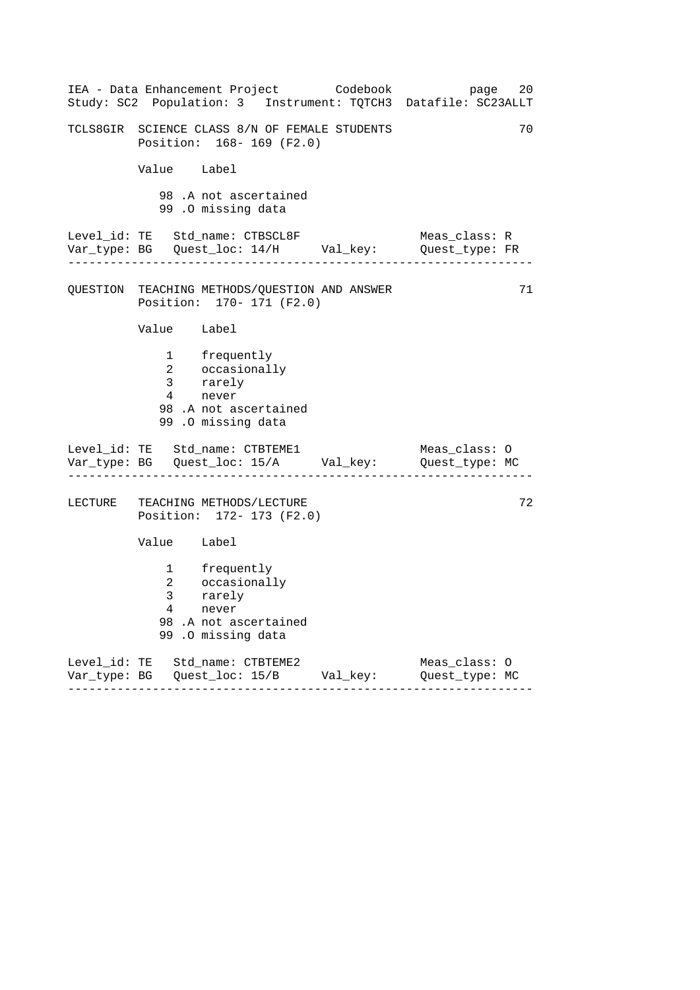| IEA - Data Enhancement Project Codebook<br>Study: SC2 Population: 3 Instrument: TQTCH3 Datafile: SC23ALLT | page<br>20    |
|-----------------------------------------------------------------------------------------------------------|---------------|
| TCLS8GIR SCIENCE CLASS 8/N OF FEMALE STUDENTS<br>Position: 168-169 (F2.0)                                 | 70            |
| Value Label                                                                                               |               |
| 98.A not ascertained<br>99.0 missing data                                                                 |               |
| Level_id: TE Std_name: CTBSCL8F<br>Var_type: BG    Quest_loc: 14/H    Val_key:    Quest_type: FR          | Meas_class: R |
| QUESTION TEACHING METHODS/QUESTION AND ANSWER<br>Position: 170- 171 (F2.0)                                | 71            |
| Value Label                                                                                               |               |
| 1 frequently<br>2 occasionally<br>3 rarely<br>4 never<br>98.A not ascertained<br>99 .O missing data       |               |
| Level_id: TE Std_name: CTBTEME1<br>Var_type: BG    Quest_loc: 15/A    Val_key:    Quest_type: MC          | Meas_class: O |
| LECTURE TEACHING METHODS/LECTURE<br>Position: 172- 173 (F2.0)                                             | 72            |
| Value Label                                                                                               |               |
| 1 frequently<br>2 occasionally<br>3 rarely<br>4 never<br>98.A not ascertained<br>99 .0 missing data       |               |
| Level_id: TE Std_name: CTBTEME2<br>Var_type: BG    Quest_loc: 15/B    Val_key:    Quest_type: MC          | Meas_class: 0 |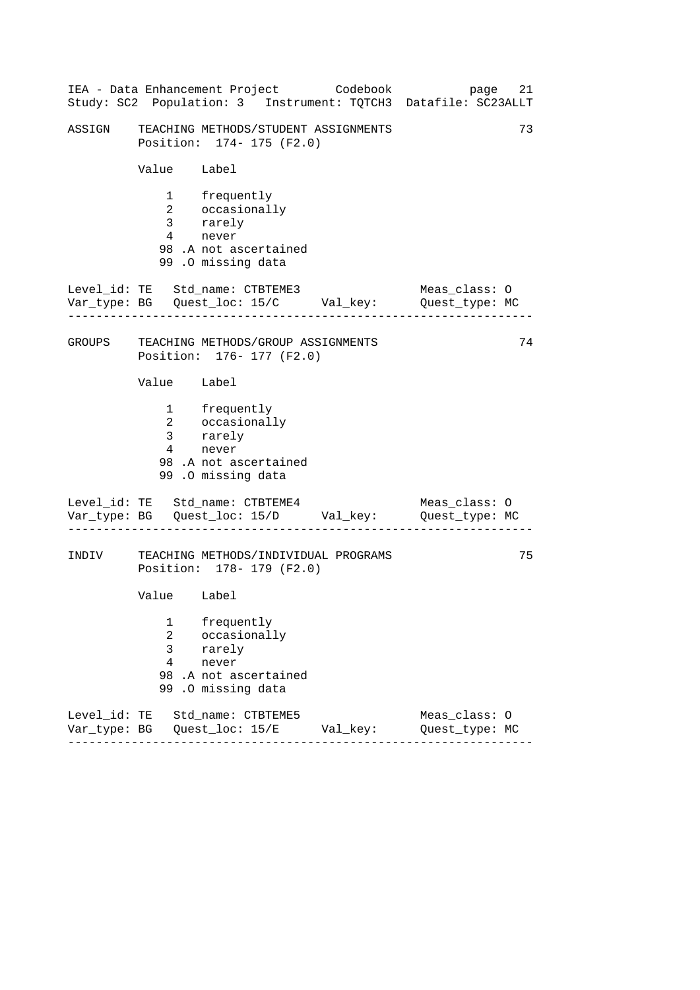|        |                               | IEA - Data Enhancement Project Codebook                                                          | 21<br>page<br>Study: SC2 Population: 3 Instrument: TQTCH3 Datafile: SC23ALLT |
|--------|-------------------------------|--------------------------------------------------------------------------------------------------|------------------------------------------------------------------------------|
| ASSIGN |                               | TEACHING METHODS/STUDENT ASSIGNMENTS<br>Position: 174- 175 (F2.0)                                | 73                                                                           |
|        | Value Label                   |                                                                                                  |                                                                              |
|        | $4\overline{ }$               | 1 frequently<br>2 occasionally<br>3 rarely<br>never<br>98.A not ascertained<br>99.0 missing data |                                                                              |
|        |                               | Level_id: TE Std_name: CTBTEME3<br>Var_type: BG    Quest_loc: 15/C    Val_key:    Quest_type: MC | Meas_class: O                                                                |
| GROUPS |                               | TEACHING METHODS/GROUP ASSIGNMENTS<br>Position: 176- 177 (F2.0)                                  | 74                                                                           |
|        | Value Label                   |                                                                                                  |                                                                              |
|        | 4                             | 1 frequently<br>2 occasionally<br>3 rarely<br>never<br>98.A not ascertained<br>99.0 missing data |                                                                              |
|        |                               | Level_id: TE Std_name: CTBTEME4<br>Var_type: BG    Quest_loc: 15/D    Val_key:    Quest_type: MC | Meas_class: O                                                                |
| INDIV  |                               | TEACHING METHODS/INDIVIDUAL PROGRAMS<br>Position: 178- 179 (F2.0)                                | 75                                                                           |
|        | Value Label                   |                                                                                                  |                                                                              |
|        | 1<br>2<br>3<br>$\overline{4}$ | frequently<br>occasionally<br>rarely<br>never<br>98 .A not ascertained<br>99.0 missing data      |                                                                              |
|        |                               | Level_id: TE Std_name: CTBTEME5                                                                  | Meas_class: 0<br>Quest_type: MC                                              |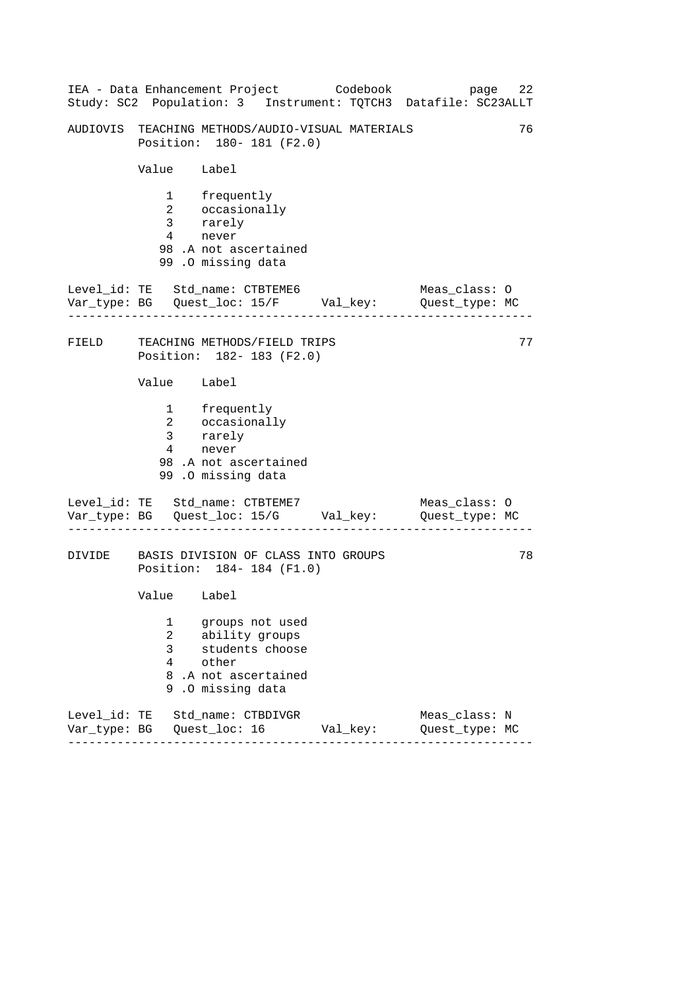|        |                                   | IEA - Data Enhancement Project Codebook                                                                | 22<br>page<br>Study: SC2 Population: 3 Instrument: TQTCH3 Datafile: SC23ALLT |
|--------|-----------------------------------|--------------------------------------------------------------------------------------------------------|------------------------------------------------------------------------------|
|        |                                   | AUDIOVIS TEACHING METHODS/AUDIO-VISUAL MATERIALS<br>Position: 180- 181 (F2.0)                          | 76                                                                           |
|        | Value Label                       |                                                                                                        |                                                                              |
|        | $4\overline{ }$                   | 1 frequently<br>2 occasionally<br>3 rarely<br>never<br>98 .A not ascertained<br>99.0 missing data      |                                                                              |
|        | .                                 | Level_id: TE Std_name: CTBTEME6<br>Var_type: BG    Quest_loc: 15/F    Val_key:    Quest_type: MC       | Meas_class: O                                                                |
| FIELD  |                                   | TEACHING METHODS/FIELD TRIPS<br>Position: 182- 183 (F2.0)                                              | 77                                                                           |
|        | Value Label                       |                                                                                                        |                                                                              |
|        | $\overline{3}$<br>$4\overline{ }$ | 1 frequently<br>2 occasionally<br>rarely<br>never<br>98.A not ascertained<br>99.0 missing data         |                                                                              |
|        |                                   | Level_id: TE Std_name: CTBTEME7<br>Var_type: BG    Quest_loc: 15/G    Val_key:    Quest_type: MC       | Meas_class: 0                                                                |
| DIVIDE |                                   | BASIS DIVISION OF CLASS INTO GROUPS<br>Position: 184-184 (F1.0)                                        | 78                                                                           |
|        | Value Label                       |                                                                                                        |                                                                              |
|        | 1<br>2<br>3<br>4<br>8<br>9        | groups not used<br>ability groups<br>students choose<br>other<br>.A not ascertained<br>.0 missing data |                                                                              |
|        |                                   | Level_id: TE Std_name: CTBDIVGR<br>Var_type: BG    Quest_loc: 16    Val_key:                           | Meas_class: N<br>Quest_type: MC                                              |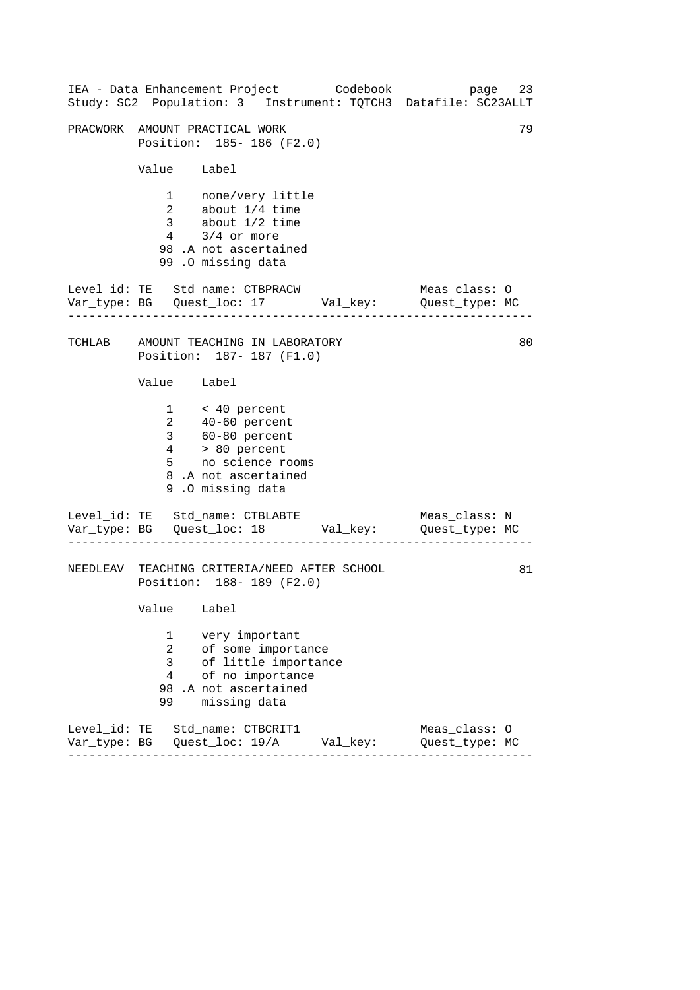|                                     | IEA - Data Enhancement Project Codebook<br>Study: SC2 Population: 3 Instrument: TQTCH3 Datafile: SC23ALLT                                                        |          | page                            | 23 |
|-------------------------------------|------------------------------------------------------------------------------------------------------------------------------------------------------------------|----------|---------------------------------|----|
|                                     | PRACWORK AMOUNT PRACTICAL WORK<br>Position: 185- 186 (F2.0)                                                                                                      |          |                                 | 79 |
| Value Label                         |                                                                                                                                                                  |          |                                 |    |
|                                     | 1 none/very little<br>2 about 1/4 time<br>3 about 1/2 time<br>$4$ $3/4$ or more<br>98 .A not ascertained<br>99.0 missing data                                    |          |                                 |    |
|                                     | Level_id: TE Std_name: CTBPRACW<br>Var_type: BG    Quest_loc: 17    Val_key:    Quest_type: MC                                                                   |          | Meas_class: O                   |    |
|                                     | TCHLAB AMOUNT TEACHING IN LABORATORY<br>Position: 187- 187 (F1.0)                                                                                                |          |                                 | 80 |
| Value Label                         |                                                                                                                                                                  |          |                                 |    |
|                                     | $1 \times 40$ percent<br>$2 \t 40-60$ percent<br>$3 \t 60-80$ percent<br>$4 \t 80$ percent<br>$5 \t no$ science rooms<br>8.A not ascertained<br>9.0 missing data |          |                                 |    |
|                                     | Level_id: TE Std_name: CTBLABTE<br>Var_type: BG    Quest_loc: 18    Val_key:    Quest_type: MC                                                                   |          | Meas_class: N                   |    |
|                                     | NEEDLEAV TEACHING CRITERIA/NEED AFTER SCHOOL<br>Position: 188-189 (F2.0)                                                                                         |          |                                 | 81 |
| Value Label                         |                                                                                                                                                                  |          |                                 |    |
| 1<br>2<br>3<br>$\overline{4}$<br>99 | very important<br>of some importance<br>of little importance<br>of no importance<br>98 .A not ascertained<br>missing data                                        |          |                                 |    |
|                                     | Level_id: TE Std_name: CTBCRIT1                                                                                                                                  | Val_key: | Meas_class: 0<br>Quest_type: MC |    |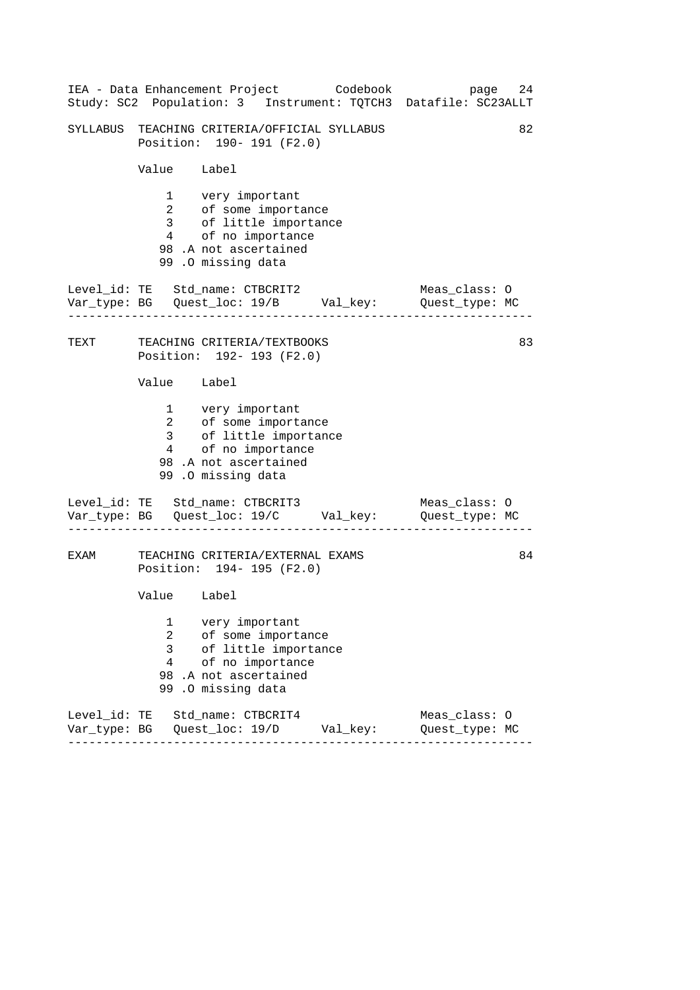|      |                                            | IEA - Data Enhancement Project Codebook<br>Study: SC2 Population: 3 Instrument: TQTCH3 Datafile: SC23ALLT                             | page                            | 24 |
|------|--------------------------------------------|---------------------------------------------------------------------------------------------------------------------------------------|---------------------------------|----|
|      |                                            | SYLLABUS TEACHING CRITERIA/OFFICIAL SYLLABUS<br>Position: 190- 191 (F2.0)                                                             |                                 | 82 |
|      | Value Label                                |                                                                                                                                       |                                 |    |
|      |                                            | 1 very important<br>2 of some importance<br>3 of little importance<br>4 of no importance<br>98.A not ascertained<br>99.0 missing data |                                 |    |
|      |                                            | Level_id: TE Std_name: CTBCRIT2<br>Var_type: BG    Quest_loc: 19/B    Val_key:    Quest_type: MC                                      | Meas_class: O                   |    |
|      |                                            | TEXT TEACHING CRITERIA/TEXTBOOKS<br>Position: 192- 193 (F2.0)                                                                         |                                 | 83 |
|      | Value Label                                |                                                                                                                                       |                                 |    |
|      |                                            | 1 very important<br>2 of some importance<br>3 of little importance<br>4 of no importance<br>98.A not ascertained<br>99.0 missing data |                                 |    |
|      |                                            | Level_id: TE Std_name: CTBCRIT3<br>Var_type: BG    Quest_loc: 19/C    Val_key:    Quest_type: MC                                      | Meas_class: 0                   |    |
| EXAM |                                            | TEACHING CRITERIA/EXTERNAL EXAMS<br>Position: 194- 195 (F2.0)                                                                         |                                 | 84 |
|      | Value Label                                |                                                                                                                                       |                                 |    |
|      | 1<br>$\overline{a}$<br>3<br>$\overline{4}$ | very important<br>of some importance<br>of little importance<br>of no importance<br>98 .A not ascertained<br>99.0 missing data        |                                 |    |
|      |                                            | Level_id: TE Std_name: CTBCRIT4                                                                                                       | Meas_class: 0<br>Quest_type: MC |    |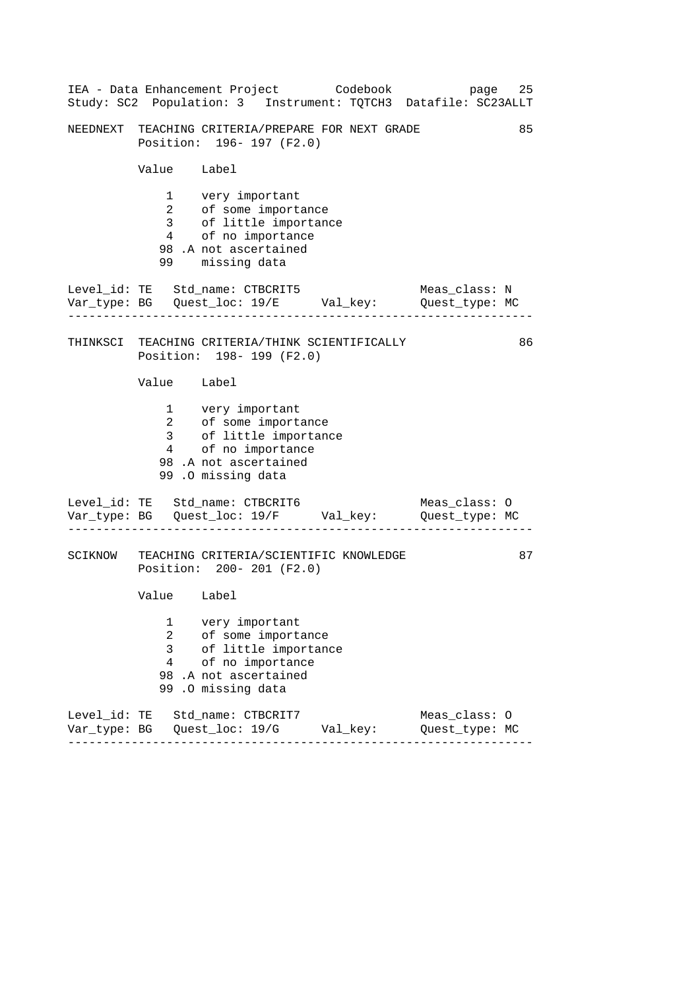|                               | IEA - Data Enhancement Project Codebook                                                                                                | 25<br>page<br>Study: SC2 Population: 3 Instrument: TQTCH3 Datafile: SC23ALLT |
|-------------------------------|----------------------------------------------------------------------------------------------------------------------------------------|------------------------------------------------------------------------------|
|                               | NEEDNEXT TEACHING CRITERIA/PREPARE FOR NEXT GRADE<br>Position: 196- 197 (F2.0)                                                         | 85                                                                           |
| Value Label                   |                                                                                                                                        |                                                                              |
| 99 —                          | 1 very important<br>2 of some importance<br>3 of little importance<br>4 of no importance<br>98.A not ascertained<br>missing data       |                                                                              |
|                               | Level_id: TE Std_name: CTBCRIT5<br>Var_type: BG    Quest_loc: 19/E    Val_key:    Quest_type: MC                                       | Meas_class: N                                                                |
|                               | THINKSCI TEACHING CRITERIA/THINK SCIENTIFICALLY<br>Position: 198-199 (F2.0)                                                            | 86                                                                           |
| Value Label                   |                                                                                                                                        |                                                                              |
|                               | 1 very important<br>2 of some importance<br>3 of little importance<br>4 of no importance<br>98 .A not ascertained<br>99.0 missing data |                                                                              |
|                               | Level_id: TE Std_name: CTBCRIT6<br>Var_type: BG    Quest_loc: 19/F    Val_key:    Quest_type: MC                                       | Meas_class: O                                                                |
|                               | SCIKNOW TEACHING CRITERIA/SCIENTIFIC KNOWLEDGE<br>Position: 200- 201 (F2.0)                                                            | 87                                                                           |
| Value Label                   |                                                                                                                                        |                                                                              |
| 1<br>2<br>3<br>$\overline{4}$ | very important<br>of some importance<br>of little importance<br>of no importance<br>98.A not ascertained<br>99.0 missing data          |                                                                              |
|                               | Level_id: TE Std_name: CTBCRIT7                                                                                                        | Meas_class: 0<br>Quest_type: MC                                              |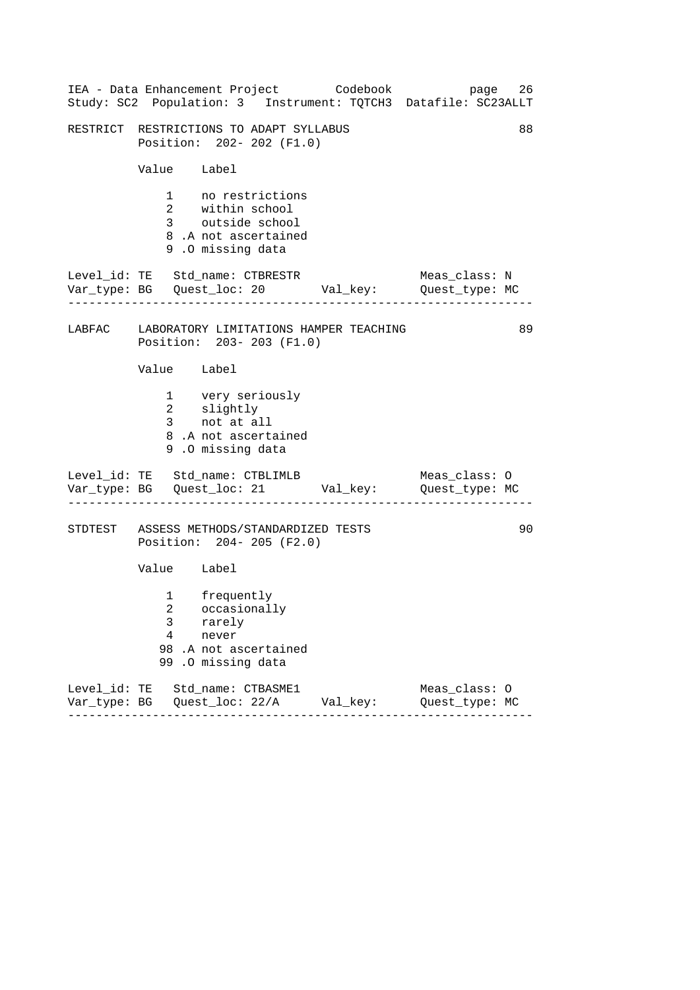|                                                                           | IEA - Data Enhancement Project Codebook<br>Study: SC2 Population: 3 Instrument: TQTCH3 Datafile: SC23ALLT |  |                                 | page 26 |
|---------------------------------------------------------------------------|-----------------------------------------------------------------------------------------------------------|--|---------------------------------|---------|
|                                                                           | RESTRICT RESTRICTIONS TO ADAPT SYLLABUS<br>Position: 202- 202 (F1.0)                                      |  |                                 | 88      |
|                                                                           | Value Label                                                                                               |  |                                 |         |
|                                                                           | 1 no restrictions<br>2 within school<br>3 outside school<br>8.A not ascertained<br>9.0 missing data       |  |                                 |         |
|                                                                           | Level_id: TE Std_name: CTBRESTR<br>Var_type: BG    Quest_loc: 20    Val_key:    Quest_type: MC            |  | Meas_class: N                   |         |
| LABFAC LABORATORY LIMITATIONS HAMPER TEACHING<br>Position: 203-203 (F1.0) |                                                                                                           |  |                                 | 89      |
|                                                                           | Value Label                                                                                               |  |                                 |         |
|                                                                           | 1 very seriously<br>2 slightly<br>3 not at all<br>8.A not ascertained<br>9.0 missing data                 |  |                                 |         |
|                                                                           | Level_id: TE Std_name: CTBLIMLB<br>Var_type: BG    Quest_loc: 21    Val_key:    Quest_type: MC            |  | Meas_class: O                   |         |
|                                                                           | STDTEST ASSESS METHODS/STANDARDIZED TESTS<br>Position: 204- 205 (F2.0)                                    |  |                                 | 90      |
|                                                                           | Value Label                                                                                               |  |                                 |         |
| 3<br>4<br>99                                                              | 1 frequently<br>2 occasionally<br>rarely<br>never<br>98.A not ascertained<br>.0 missing data              |  |                                 |         |
|                                                                           | Level_id: TE Std_name: CTBASME1<br>Var_type: BG    Quest_loc: 22/A    Val_key:<br>------                  |  | Meas_class: 0<br>Quest_type: MC |         |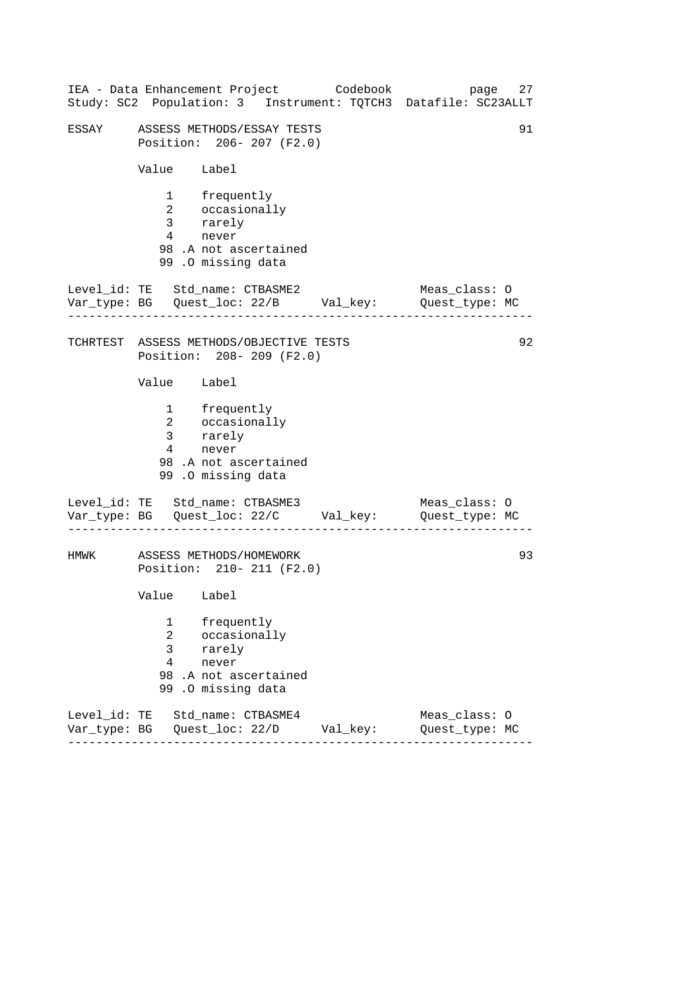|       |                                                       | IEA - Data Enhancement Project Codebook                                                             | page<br>27<br>Study: SC2 Population: 3 Instrument: TQTCH3 Datafile: SC23ALLT   |
|-------|-------------------------------------------------------|-----------------------------------------------------------------------------------------------------|--------------------------------------------------------------------------------|
| ESSAY |                                                       | ASSESS METHODS/ESSAY TESTS<br>Position: 206-207 (F2.0)                                              | 91                                                                             |
|       | Value Label                                           |                                                                                                     |                                                                                |
|       | $4\degree$                                            | 1 frequently<br>2 occasionally<br>3 rarely<br>never<br>98.A not ascertained<br>99.0 missing data    |                                                                                |
|       |                                                       | Level_id: TE Std_name: CTBASME2                                                                     | Meas_class: O<br>Var_type: BG    Quest_loc: 22/B    Val_key:    Quest_type: MC |
|       |                                                       | TCHRTEST ASSESS METHODS/OBJECTIVE TESTS<br>Position: 208-209 (F2.0)                                 | 92                                                                             |
|       | Value Label                                           |                                                                                                     |                                                                                |
|       |                                                       | 1 frequently<br>2 occasionally<br>3 rarely<br>4 never<br>98 .A not ascertained<br>99.0 missing data |                                                                                |
|       |                                                       | Level_id: TE Std_name: CTBASME3                                                                     | Meas_class: O<br>Var_type: BG    Quest_loc: 22/C    Val_key:    Quest_type: MC |
| HMWK  |                                                       | ASSESS METHODS/HOMEWORK<br>Position: 210- 211 (F2.0)                                                | 93                                                                             |
|       | Value Label                                           |                                                                                                     |                                                                                |
|       | 1<br>$\overline{2}$<br>$\mathsf{3}$<br>$\overline{4}$ | frequently<br>occasionally<br>rarely<br>never<br>98.A not ascertained<br>99.0 missing data          |                                                                                |
|       |                                                       | Level_id: TE Std_name: CTBASME4                                                                     | Meas_class: 0<br>Quest_type: MC                                                |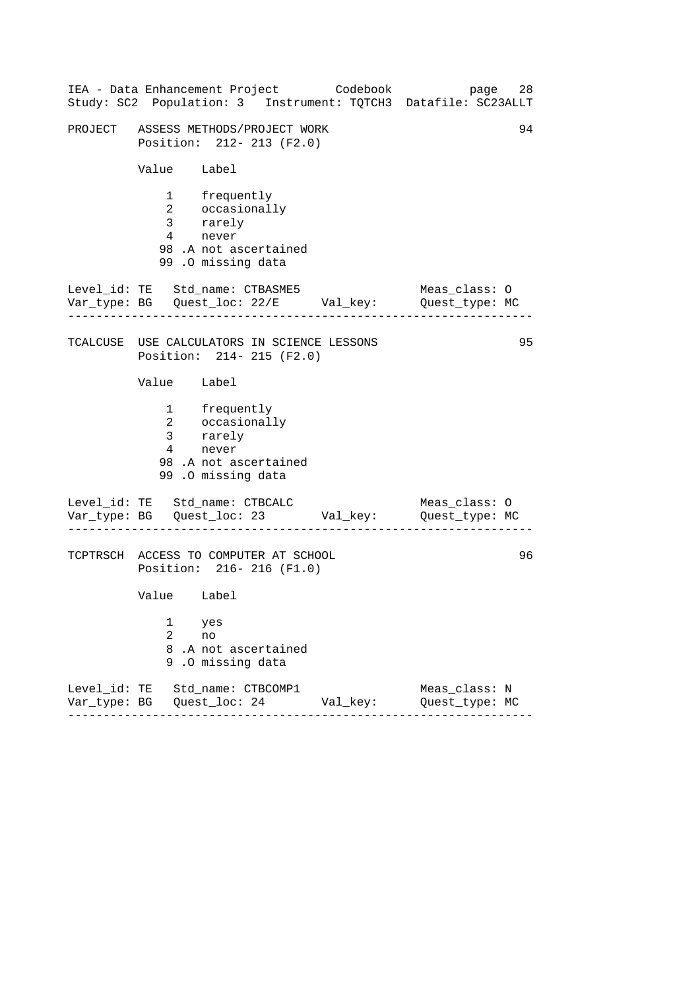------------------------------------------------------------------ ------------------------------------------------------------------ ------------------------------------------------------------------ IEA - Data Enhancement Project Codebook page 28 Study: SC2 Population: 3 Instrument: TQTCH3 Datafile: SC23ALLT PROJECT ASSESS METHODS/PROJECT WORK 94 Position: 212- 213 (F2.0) Value Label 1 frequently 2 occasionally 3 rarely 4 never 98 .A not ascertained 99 .O missing data Level\_id: TE Std\_name: CTBASME5 Meas\_class: 0 Var\_type: BG Quest\_loc: 22/E Val\_key: Quest\_type: MC TCALCUSE USE CALCULATORS IN SCIENCE LESSONS 95 Position: 214- 215 (F2.0) Value Label 1 frequently 2 occasionally 3 rarely 4 never 98 .A not ascertained 99 .O missing data Level\_id: TE Std\_name: CTBCALC Meas\_class: 0 Var\_type: BG Quest\_loc: 23 Val\_key: Quest\_type: MC TCPTRSCH ACCESS TO COMPUTER AT SCHOOL 96 Position: 216- 216 (F1.0) Value Label 1 yes 2 no 8 .A not ascertained 9 .O missing data Level\_id: TE Std\_name: CTBCOMP1 Meas\_class: N Var\_type: BG Quest\_loc: 24 Val\_key: Quest\_type: MC